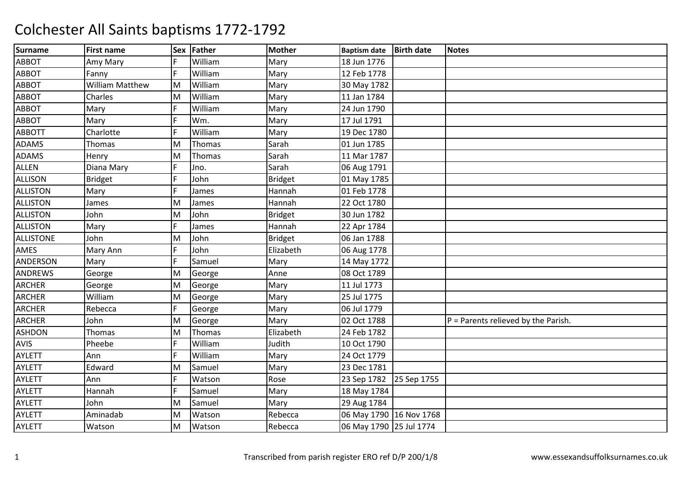| <b>Surname</b>   | <b>First name</b>      | <b>Sex</b> | Father  | <b>Mother</b>  | <b>Baptism date</b>     | <b>Birth date</b> | <b>Notes</b>                          |
|------------------|------------------------|------------|---------|----------------|-------------------------|-------------------|---------------------------------------|
| <b>ABBOT</b>     | Amy Mary               | F          | William | Mary           | 18 Jun 1776             |                   |                                       |
| <b>ABBOT</b>     | Fanny                  | F          | William | Mary           | 12 Feb 1778             |                   |                                       |
| <b>ABBOT</b>     | <b>William Matthew</b> | M          | William | Mary           | 30 May 1782             |                   |                                       |
| <b>ABBOT</b>     | Charles                | M          | William | Mary           | 11 Jan 1784             |                   |                                       |
| <b>ABBOT</b>     | Mary                   | F          | William | Mary           | 24 Jun 1790             |                   |                                       |
| <b>ABBOT</b>     | Mary                   | F          | Wm.     | Mary           | 17 Jul 1791             |                   |                                       |
| <b>ABBOTT</b>    | Charlotte              | F          | William | Mary           | 19 Dec 1780             |                   |                                       |
| <b>ADAMS</b>     | <b>Thomas</b>          | M          | Thomas  | Sarah          | 01 Jun 1785             |                   |                                       |
| <b>ADAMS</b>     | Henry                  | M          | Thomas  | Sarah          | 11 Mar 1787             |                   |                                       |
| <b>ALLEN</b>     | Diana Mary             | F          | Jno.    | Sarah          | 06 Aug 1791             |                   |                                       |
| <b>ALLISON</b>   | Bridget                | F          | John    | <b>Bridget</b> | 01 May 1785             |                   |                                       |
| <b>ALLISTON</b>  | Mary                   | F          | James   | Hannah         | 01 Feb 1778             |                   |                                       |
| <b>ALLISTON</b>  | James                  | M          | James   | Hannah         | 22 Oct 1780             |                   |                                       |
| <b>ALLISTON</b>  | John                   | M          | John    | <b>Bridget</b> | 30 Jun 1782             |                   |                                       |
| <b>ALLISTON</b>  | Mary                   | F          | James   | Hannah         | 22 Apr 1784             |                   |                                       |
| <b>ALLISTONE</b> | John                   | M          | John    | <b>Bridget</b> | 06 Jan 1788             |                   |                                       |
| AMES             | Mary Ann               | F          | John    | Elizabeth      | 06 Aug 1778             |                   |                                       |
| ANDERSON         | Mary                   | F          | Samuel  | Mary           | 14 May 1772             |                   |                                       |
| <b>ANDREWS</b>   | George                 | M          | George  | Anne           | 08 Oct 1789             |                   |                                       |
| <b>ARCHER</b>    | George                 | M          | George  | Mary           | 11 Jul 1773             |                   |                                       |
| <b>ARCHER</b>    | William                | M          | George  | Mary           | 25 Jul 1775             |                   |                                       |
| <b>ARCHER</b>    | Rebecca                | F          | George  | Mary           | 06 Jul 1779             |                   |                                       |
| <b>ARCHER</b>    | John                   | M          | George  | Mary           | 02 Oct 1788             |                   | $P =$ Parents relieved by the Parish. |
| <b>ASHDON</b>    | <b>Thomas</b>          | M          | Thomas  | Elizabeth      | 24 Feb 1782             |                   |                                       |
| AVIS             | Pheebe                 | F          | William | Judith         | 10 Oct 1790             |                   |                                       |
| <b>AYLETT</b>    | Ann                    | F          | William | Mary           | 24 Oct 1779             |                   |                                       |
| <b>AYLETT</b>    | Edward                 | M          | Samuel  | Mary           | 23 Dec 1781             |                   |                                       |
| <b>AYLETT</b>    | Ann                    | F          | Watson  | Rose           | 23 Sep 1782             | 25 Sep 1755       |                                       |
| <b>AYLETT</b>    | Hannah                 | F          | Samuel  | Mary           | 18 May 1784             |                   |                                       |
| <b>AYLETT</b>    | John                   | M          | Samuel  | Mary           | 29 Aug 1784             |                   |                                       |
| <b>AYLETT</b>    | Aminadab               | M          | Watson  | Rebecca        | 06 May 1790 16 Nov 1768 |                   |                                       |
| <b>AYLETT</b>    | Watson                 | M          | Watson  | Rebecca        | 06 May 1790 25 Jul 1774 |                   |                                       |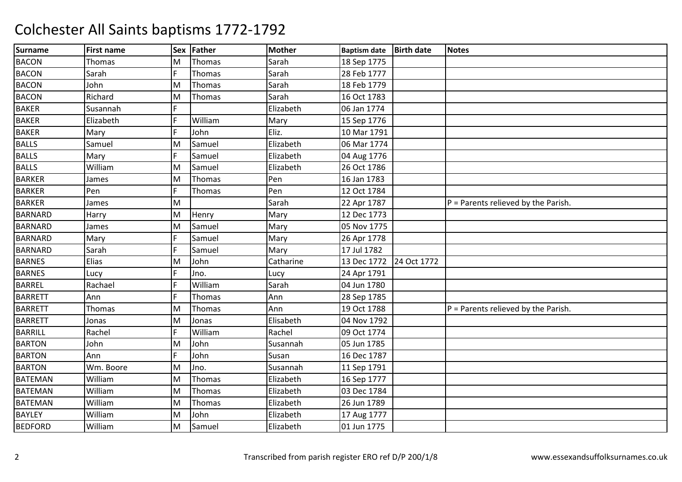| <b>Surname</b> | <b>First name</b> | <b>Sex</b> | Father  | Mother    | <b>Baptism date</b>     | <b>Birth date</b> | <b>Notes</b>                          |
|----------------|-------------------|------------|---------|-----------|-------------------------|-------------------|---------------------------------------|
| <b>BACON</b>   | <b>Thomas</b>     | M          | Thomas  | Sarah     | 18 Sep 1775             |                   |                                       |
| <b>BACON</b>   | Sarah             | F.         | Thomas  | Sarah     | 28 Feb 1777             |                   |                                       |
| <b>BACON</b>   | John              | M          | Thomas  | Sarah     | 18 Feb 1779             |                   |                                       |
| <b>BACON</b>   | Richard           | M          | Thomas  | Sarah     | 16 Oct 1783             |                   |                                       |
| <b>BAKER</b>   | Susannah          | F          |         | Elizabeth | 06 Jan 1774             |                   |                                       |
| <b>BAKER</b>   | Elizabeth         | Ē          | William | Mary      | 15 Sep 1776             |                   |                                       |
| <b>BAKER</b>   | Mary              | F          | John    | Eliz.     | 10 Mar 1791             |                   |                                       |
| <b>BALLS</b>   | Samuel            | M          | Samuel  | Elizabeth | 06 Mar 1774             |                   |                                       |
| <b>BALLS</b>   | Mary              | F          | Samuel  | Elizabeth | 04 Aug 1776             |                   |                                       |
| <b>BALLS</b>   | William           | M          | Samuel  | Elizabeth | 26 Oct 1786             |                   |                                       |
| <b>BARKER</b>  | James             | M          | Thomas  | Pen       | 16 Jan 1783             |                   |                                       |
| <b>BARKER</b>  | Pen               | F          | Thomas  | Pen       | 12 Oct 1784             |                   |                                       |
| <b>BARKER</b>  | James             | M          |         | Sarah     | 22 Apr 1787             |                   | $P =$ Parents relieved by the Parish. |
| <b>BARNARD</b> | Harry             | M          | Henry   | Mary      | 12 Dec 1773             |                   |                                       |
| <b>BARNARD</b> | James             | M          | Samuel  | Mary      | 05 Nov 1775             |                   |                                       |
| <b>BARNARD</b> | Mary              | Ē          | Samuel  | Mary      | 26 Apr 1778             |                   |                                       |
| <b>BARNARD</b> | Sarah             | F          | Samuel  | Mary      | 17 Jul 1782             |                   |                                       |
| <b>BARNES</b>  | Elias             | M          | John    | Catharine | 13 Dec 1772 24 Oct 1772 |                   |                                       |
| <b>BARNES</b>  | Lucy              | E          | Jno.    | Lucy      | 24 Apr 1791             |                   |                                       |
| <b>BARREL</b>  | Rachael           | F          | William | Sarah     | 04 Jun 1780             |                   |                                       |
| <b>BARRETT</b> | Ann               | F          | Thomas  | Ann       | 28 Sep 1785             |                   |                                       |
| <b>BARRETT</b> | Thomas            | M          | Thomas  | Ann       | 19 Oct 1788             |                   | $P =$ Parents relieved by the Parish. |
| <b>BARRETT</b> | Jonas             | M          | Jonas   | Elisabeth | 04 Nov 1792             |                   |                                       |
| <b>BARRILL</b> | Rachel            | F          | William | Rachel    | 09 Oct 1774             |                   |                                       |
| <b>BARTON</b>  | John              | M          | John    | Susannah  | 05 Jun 1785             |                   |                                       |
| <b>BARTON</b>  | Ann               | F          | John    | Susan     | 16 Dec 1787             |                   |                                       |
| <b>BARTON</b>  | Wm. Boore         | M          | Jno.    | Susannah  | 11 Sep 1791             |                   |                                       |
| <b>BATEMAN</b> | William           | M          | Thomas  | Elizabeth | 16 Sep 1777             |                   |                                       |
| <b>BATEMAN</b> | William           | M          | Thomas  | Elizabeth | 03 Dec 1784             |                   |                                       |
| <b>BATEMAN</b> | William           | M          | Thomas  | Elizabeth | 26 Jun 1789             |                   |                                       |
| <b>BAYLEY</b>  | William           | M          | John    | Elizabeth | 17 Aug 1777             |                   |                                       |
| <b>BEDFORD</b> | William           | M          | Samuel  | Elizabeth | 01 Jun 1775             |                   |                                       |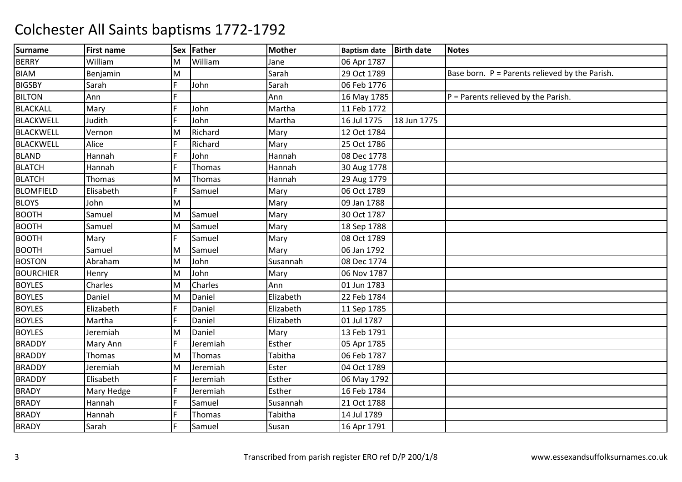| <b>Surname</b>   | <b>First name</b> | <b>Sex</b> | Father         | <b>Mother</b> | <b>Baptism date</b> | <b>Birth date</b> | <b>Notes</b>                                   |
|------------------|-------------------|------------|----------------|---------------|---------------------|-------------------|------------------------------------------------|
| <b>BERRY</b>     | William           | M          | William        | Jane          | 06 Apr 1787         |                   |                                                |
| <b>BIAM</b>      | Benjamin          | M          |                | Sarah         | 29 Oct 1789         |                   | Base born. P = Parents relieved by the Parish. |
| <b>BIGSBY</b>    | Sarah             | F          | John           | Sarah         | 06 Feb 1776         |                   |                                                |
| <b>BILTON</b>    | Ann               | F          |                | Ann           | 16 May 1785         |                   | $P =$ Parents relieved by the Parish.          |
| <b>BLACKALL</b>  | Mary              | F          | John           | Martha        | 11 Feb 1772         |                   |                                                |
| BLACKWELL        | Judith            | F          | John           | Martha        | 16 Jul 1775         | 18 Jun 1775       |                                                |
| BLACKWELL        | Vernon            | M          | Richard        | Mary          | 12 Oct 1784         |                   |                                                |
| <b>BLACKWELL</b> | Alice             | F          | Richard        | Mary          | 25 Oct 1786         |                   |                                                |
| <b>BLAND</b>     | Hannah            | F.         | John           | Hannah        | 08 Dec 1778         |                   |                                                |
| <b>BLATCH</b>    | Hannah            | F          | Thomas         | Hannah        | 30 Aug 1778         |                   |                                                |
| <b>BLATCH</b>    | Thomas            | M          | Thomas         | Hannah        | 29 Aug 1779         |                   |                                                |
| <b>BLOMFIELD</b> | Elisabeth         | F          | Samuel         | Mary          | 06 Oct 1789         |                   |                                                |
| <b>BLOYS</b>     | John              | M          |                | Mary          | 09 Jan 1788         |                   |                                                |
| <b>BOOTH</b>     | Samuel            | M          | Samuel         | Mary          | 30 Oct 1787         |                   |                                                |
| <b>BOOTH</b>     | Samuel            | M          | Samuel         | Mary          | 18 Sep 1788         |                   |                                                |
| <b>BOOTH</b>     | Mary              | F          | Samuel         | Mary          | 08 Oct 1789         |                   |                                                |
| <b>BOOTH</b>     | Samuel            | M          | Samuel         | Mary          | 06 Jan 1792         |                   |                                                |
| <b>BOSTON</b>    | Abraham           | M          | John           | Susannah      | 08 Dec 1774         |                   |                                                |
| <b>BOURCHIER</b> | Henry             | M          | John           | Mary          | 06 Nov 1787         |                   |                                                |
| <b>BOYLES</b>    | Charles           | M          | <b>Charles</b> | Ann           | 01 Jun 1783         |                   |                                                |
| <b>BOYLES</b>    | Daniel            | M          | Daniel         | Elizabeth     | 22 Feb 1784         |                   |                                                |
| <b>BOYLES</b>    | Elizabeth         | F          | Daniel         | Elizabeth     | 11 Sep 1785         |                   |                                                |
| <b>BOYLES</b>    | Martha            | F          | Daniel         | Elizabeth     | 01 Jul 1787         |                   |                                                |
| <b>BOYLES</b>    | Jeremiah          | M          | Daniel         | Mary          | 13 Feb 1791         |                   |                                                |
| <b>BRADDY</b>    | Mary Ann          | F          | Jeremiah       | Esther        | 05 Apr 1785         |                   |                                                |
| <b>BRADDY</b>    | Thomas            | M          | Thomas         | Tabitha       | 06 Feb 1787         |                   |                                                |
| <b>BRADDY</b>    | Jeremiah          | M          | Jeremiah       | Ester         | 04 Oct 1789         |                   |                                                |
| <b>BRADDY</b>    | Elisabeth         | F          | Jeremiah       | Esther        | 06 May 1792         |                   |                                                |
| <b>BRADY</b>     | Mary Hedge        | F          | Jeremiah       | Esther        | 16 Feb 1784         |                   |                                                |
| <b>BRADY</b>     | Hannah            | F          | Samuel         | Susannah      | 21 Oct 1788         |                   |                                                |
| <b>BRADY</b>     | Hannah            | F          | Thomas         | Tabitha       | 14 Jul 1789         |                   |                                                |
| <b>BRADY</b>     | Sarah             | E          | Samuel         | Susan         | 16 Apr 1791         |                   |                                                |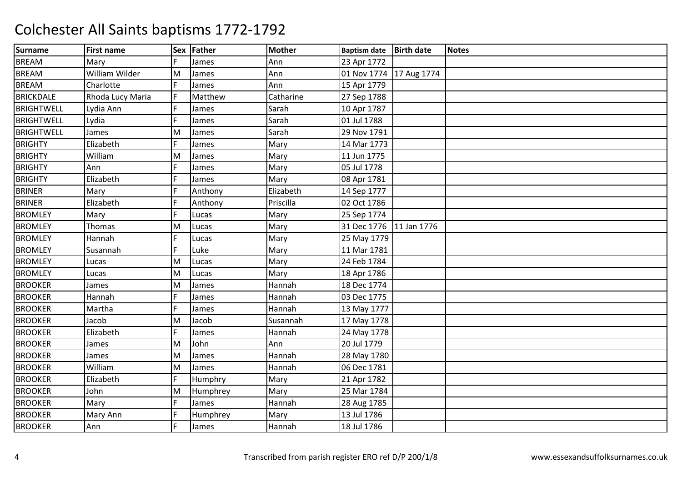| <b>Surname</b>    | <b>First name</b> | <b>Sex</b> | Father   | <b>Mother</b> | <b>Baptism date</b>     | <b>Birth date</b> | <b>Notes</b> |
|-------------------|-------------------|------------|----------|---------------|-------------------------|-------------------|--------------|
| <b>BREAM</b>      | Mary              | F          | James    | Ann           | 23 Apr 1772             |                   |              |
| <b>BREAM</b>      | William Wilder    | M          | James    | Ann           | 01 Nov 1774 17 Aug 1774 |                   |              |
| <b>BREAM</b>      | Charlotte         | F          | James    | Ann           | 15 Apr 1779             |                   |              |
| <b>BRICKDALE</b>  | Rhoda Lucy Maria  | F          | Matthew  | Catharine     | 27 Sep 1788             |                   |              |
| <b>BRIGHTWELL</b> | Lydia Ann         | F          | James    | Sarah         | 10 Apr 1787             |                   |              |
| <b>BRIGHTWELL</b> | Lydia             | F          | James    | Sarah         | 01 Jul 1788             |                   |              |
| <b>BRIGHTWELL</b> | James             | M          | James    | Sarah         | 29 Nov 1791             |                   |              |
| <b>BRIGHTY</b>    | Elizabeth         | F          | James    | Mary          | 14 Mar 1773             |                   |              |
| <b>BRIGHTY</b>    | William           | M          | James    | Mary          | 11 Jun 1775             |                   |              |
| <b>BRIGHTY</b>    | Ann               | E          | James    | Mary          | 05 Jul 1778             |                   |              |
| <b>BRIGHTY</b>    | Elizabeth         | F          | James    | Mary          | 08 Apr 1781             |                   |              |
| <b>BRINER</b>     | Mary              | F          | Anthony  | Elizabeth     | 14 Sep 1777             |                   |              |
| <b>BRINER</b>     | Elizabeth         | F          | Anthony  | Priscilla     | 02 Oct 1786             |                   |              |
| <b>BROMLEY</b>    | Mary              | F          | Lucas    | Mary          | 25 Sep 1774             |                   |              |
| <b>BROMLEY</b>    | <b>Thomas</b>     | M          | Lucas    | Mary          | 31 Dec 1776             | 11 Jan 1776       |              |
| <b>BROMLEY</b>    | Hannah            | F          | Lucas    | Mary          | 25 May 1779             |                   |              |
| <b>BROMLEY</b>    | Susannah          | E          | Luke     | Mary          | 11 Mar 1781             |                   |              |
| <b>BROMLEY</b>    | Lucas             | M          | Lucas    | Mary          | 24 Feb 1784             |                   |              |
| <b>BROMLEY</b>    | Lucas             | M          | Lucas    | Mary          | 18 Apr 1786             |                   |              |
| <b>BROOKER</b>    | James             | M          | James    | Hannah        | 18 Dec 1774             |                   |              |
| <b>BROOKER</b>    | Hannah            | F          | James    | Hannah        | 03 Dec 1775             |                   |              |
| <b>BROOKER</b>    | Martha            | F          | James    | Hannah        | 13 May 1777             |                   |              |
| <b>BROOKER</b>    | Jacob             | M          | Jacob    | Susannah      | 17 May 1778             |                   |              |
| <b>BROOKER</b>    | Elizabeth         | F          | James    | Hannah        | 24 May 1778             |                   |              |
| <b>BROOKER</b>    | James             | M          | John     | Ann           | 20 Jul 1779             |                   |              |
| <b>BROOKER</b>    | James             | M          | James    | Hannah        | 28 May 1780             |                   |              |
| <b>BROOKER</b>    | William           | M          | James    | Hannah        | 06 Dec 1781             |                   |              |
| <b>BROOKER</b>    | Elizabeth         | F          | Humphry  | Mary          | 21 Apr 1782             |                   |              |
| <b>BROOKER</b>    | John              | M          | Humphrey | Mary          | 25 Mar 1784             |                   |              |
| <b>BROOKER</b>    | Mary              | F          | James    | Hannah        | 28 Aug 1785             |                   |              |
| <b>BROOKER</b>    | Mary Ann          | F          | Humphrey | Mary          | 13 Jul 1786             |                   |              |
| <b>BROOKER</b>    | Ann               | F          | James    | Hannah        | 18 Jul 1786             |                   |              |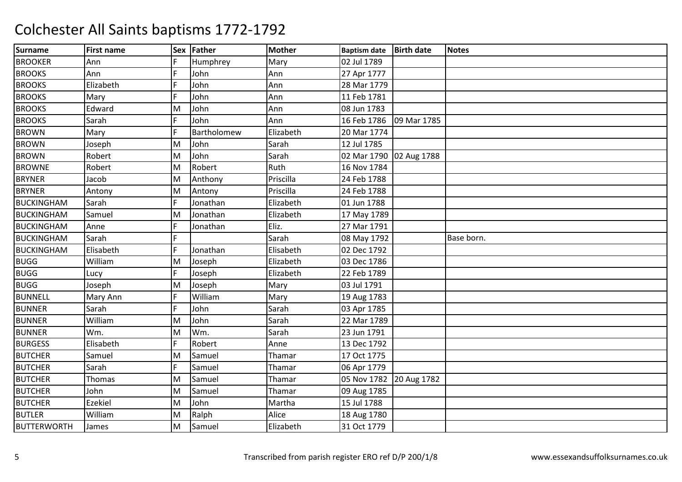| <b>Surname</b>     | <b>First name</b> |     | Sex Father  | <b>Mother</b> | <b>Baptism date</b>     | <b>Birth date</b> | <b>Notes</b> |
|--------------------|-------------------|-----|-------------|---------------|-------------------------|-------------------|--------------|
| <b>BROOKER</b>     | Ann               | F   | Humphrey    | Mary          | 02 Jul 1789             |                   |              |
| <b>BROOKS</b>      | Ann               | F   | John        | Ann           | 27 Apr 1777             |                   |              |
| <b>BROOKS</b>      | Elizabeth         | lF. | John        | Ann           | 28 Mar 1779             |                   |              |
| <b>BROOKS</b>      | Mary              | F   | John        | Ann           | 11 Feb 1781             |                   |              |
| <b>BROOKS</b>      | Edward            | M   | John        | Ann           | 08 Jun 1783             |                   |              |
| <b>BROOKS</b>      | Sarah             | F   | John        | Ann           | 16 Feb 1786             | 09 Mar 1785       |              |
| <b>BROWN</b>       | Mary              | F   | Bartholomew | Elizabeth     | 20 Mar 1774             |                   |              |
| <b>BROWN</b>       | Joseph            | M   | John        | Sarah         | 12 Jul 1785             |                   |              |
| <b>BROWN</b>       | Robert            | M   | John        | Sarah         | 02 Mar 1790 02 Aug 1788 |                   |              |
| <b>BROWNE</b>      | Robert            | M   | Robert      | Ruth          | 16 Nov 1784             |                   |              |
| <b>BRYNER</b>      | Jacob             | M   | Anthony     | Priscilla     | 24 Feb 1788             |                   |              |
| <b>BRYNER</b>      | Antony            | M   | Antony      | Priscilla     | 24 Feb 1788             |                   |              |
| <b>BUCKINGHAM</b>  | Sarah             | F   | Jonathan    | Elizabeth     | 01 Jun 1788             |                   |              |
| <b>BUCKINGHAM</b>  | Samuel            | M   | Jonathan    | Elizabeth     | 17 May 1789             |                   |              |
| <b>BUCKINGHAM</b>  | Anne              | F   | Jonathan    | Eliz.         | 27 Mar 1791             |                   |              |
| <b>BUCKINGHAM</b>  | Sarah             | F   |             | Sarah         | 08 May 1792             |                   | Base born.   |
| <b>BUCKINGHAM</b>  | Elisabeth         | F   | Jonathan    | Elisabeth     | 02 Dec 1792             |                   |              |
| <b>BUGG</b>        | William           | M   | Joseph      | Elizabeth     | 03 Dec 1786             |                   |              |
| <b>BUGG</b>        | Lucy              | F   | Joseph      | Elizabeth     | 22 Feb 1789             |                   |              |
| <b>BUGG</b>        | Joseph            | M   | Joseph      | Mary          | 03 Jul 1791             |                   |              |
| <b>BUNNELL</b>     | Mary Ann          | F   | William     | Mary          | 19 Aug 1783             |                   |              |
| <b>BUNNER</b>      | Sarah             | F   | John        | Sarah         | 03 Apr 1785             |                   |              |
| <b>BUNNER</b>      | William           | M   | John        | Sarah         | 22 Mar 1789             |                   |              |
| <b>BUNNER</b>      | Wm.               | M   | Wm.         | Sarah         | 23 Jun 1791             |                   |              |
| <b>BURGESS</b>     | Elisabeth         | F   | Robert      | Anne          | 13 Dec 1792             |                   |              |
| <b>BUTCHER</b>     | Samuel            | M   | Samuel      | Thamar        | 17 Oct 1775             |                   |              |
| <b>BUTCHER</b>     | Sarah             | F   | Samuel      | Thamar        | 06 Apr 1779             |                   |              |
| <b>BUTCHER</b>     | Thomas            | M   | Samuel      | Thamar        | 05 Nov 1782             | 20 Aug 1782       |              |
| <b>BUTCHER</b>     | John              | M   | Samuel      | Thamar        | 09 Aug 1785             |                   |              |
| <b>BUTCHER</b>     | Ezekiel           | M   | John        | Martha        | 15 Jul 1788             |                   |              |
| <b>BUTLER</b>      | William           | M   | Ralph       | Alice         | 18 Aug 1780             |                   |              |
| <b>BUTTERWORTH</b> | James             | M   | Samuel      | Elizabeth     | 31 Oct 1779             |                   |              |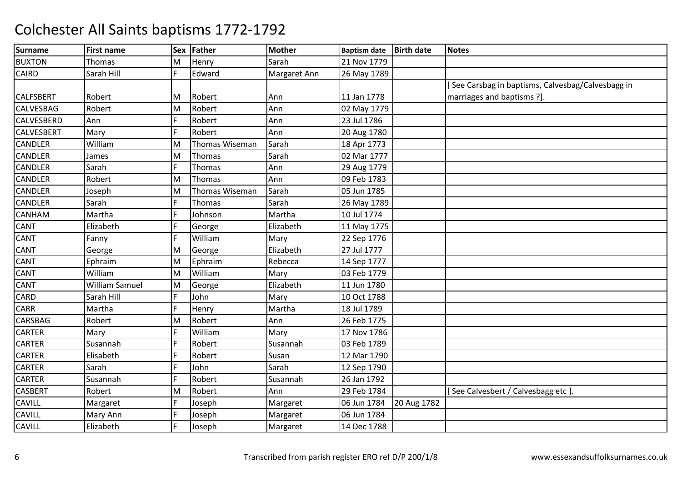| <b>Surname</b>    | <b>First name</b>     |   | Sex Father     | <b>Mother</b> | <b>Baptism date</b> | <b>Birth date</b> | <b>Notes</b>                                     |
|-------------------|-----------------------|---|----------------|---------------|---------------------|-------------------|--------------------------------------------------|
| <b>BUXTON</b>     | <b>Thomas</b>         | M | Henry          | Sarah         | 21 Nov 1779         |                   |                                                  |
| <b>CAIRD</b>      | Sarah Hill            | F | Edward         | Margaret Ann  | 26 May 1789         |                   |                                                  |
|                   |                       |   |                |               |                     |                   | See Carsbag in baptisms, Calvesbag/Calvesbagg in |
| <b>CALFSBERT</b>  | Robert                | M | Robert         | Ann           | 11 Jan 1778         |                   | marriages and baptisms ?].                       |
| <b>CALVESBAG</b>  | Robert                | M | Robert         | Ann           | 02 May 1779         |                   |                                                  |
| <b>CALVESBERD</b> | Ann                   | F | Robert         | Ann           | 23 Jul 1786         |                   |                                                  |
| <b>CALVESBERT</b> | Mary                  | F | Robert         | Ann           | 20 Aug 1780         |                   |                                                  |
| <b>CANDLER</b>    | William               | M | Thomas Wiseman | Sarah         | 18 Apr 1773         |                   |                                                  |
| <b>CANDLER</b>    | James                 | M | Thomas         | Sarah         | 02 Mar 1777         |                   |                                                  |
| <b>CANDLER</b>    | Sarah                 | F | <b>Thomas</b>  | Ann           | 29 Aug 1779         |                   |                                                  |
| <b>CANDLER</b>    | Robert                | M | Thomas         | Ann           | 09 Feb 1783         |                   |                                                  |
| <b>CANDLER</b>    | Joseph                | M | Thomas Wiseman | Sarah         | 05 Jun 1785         |                   |                                                  |
| <b>CANDLER</b>    | Sarah                 | F | <b>Thomas</b>  | Sarah         | 26 May 1789         |                   |                                                  |
| <b>CANHAM</b>     | Martha                | F | Johnson        | Martha        | 10 Jul 1774         |                   |                                                  |
| <b>CANT</b>       | Elizabeth             | F | George         | Elizabeth     | 11 May 1775         |                   |                                                  |
| <b>CANT</b>       | Fanny                 | F | William        | Mary          | 22 Sep 1776         |                   |                                                  |
| <b>CANT</b>       | George                | M | George         | Elizabeth     | 27 Jul 1777         |                   |                                                  |
| <b>CANT</b>       | Ephraim               | M | Ephraim        | Rebecca       | 14 Sep 1777         |                   |                                                  |
| <b>CANT</b>       | William               | M | William        | Mary          | 03 Feb 1779         |                   |                                                  |
| <b>CANT</b>       | <b>William Samuel</b> | M | George         | Elizabeth     | 11 Jun 1780         |                   |                                                  |
| <b>CARD</b>       | Sarah Hill            | F | John           | Mary          | 10 Oct 1788         |                   |                                                  |
| <b>CARR</b>       | Martha                | F | Henry          | Martha        | 18 Jul 1789         |                   |                                                  |
| <b>CARSBAG</b>    | Robert                | M | Robert         | Ann           | 26 Feb 1775         |                   |                                                  |
| <b>CARTER</b>     | Mary                  | F | William        | Mary          | 17 Nov 1786         |                   |                                                  |
| <b>CARTER</b>     | Susannah              | F | Robert         | Susannah      | 03 Feb 1789         |                   |                                                  |
| <b>CARTER</b>     | Elisabeth             | F | Robert         | Susan         | 12 Mar 1790         |                   |                                                  |
| <b>CARTER</b>     | Sarah                 |   | John           | Sarah         | 12 Sep 1790         |                   |                                                  |
| <b>CARTER</b>     | Susannah              | F | Robert         | Susannah      | 26 Jan 1792         |                   |                                                  |
| <b>CASBERT</b>    | Robert                | M | Robert         | Ann           | 29 Feb 1784         |                   | [See Calvesbert / Calvesbagg etc]                |
| <b>CAVILL</b>     | Margaret              | F | Joseph         | Margaret      | 06 Jun 1784         | 20 Aug 1782       |                                                  |
| <b>CAVILL</b>     | Mary Ann              | F | Joseph         | Margaret      | 06 Jun 1784         |                   |                                                  |
| <b>CAVILL</b>     | Elizabeth             | F | Joseph         | Margaret      | 14 Dec 1788         |                   |                                                  |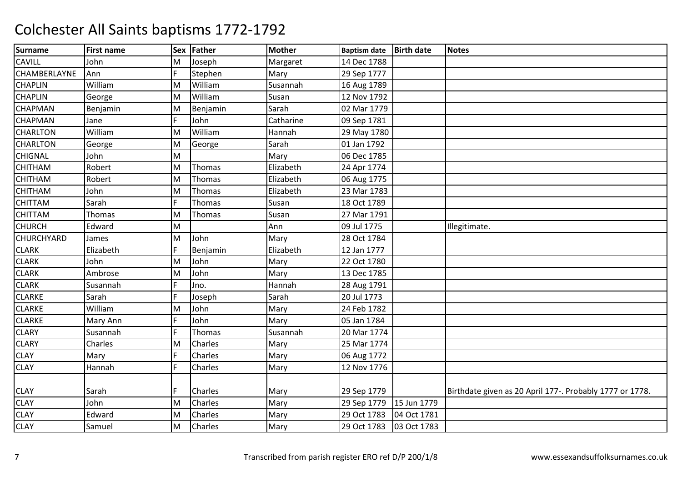| <b>Surname</b>      | <b>First name</b> | <b>Sex</b>     | Father         | <b>Mother</b> | <b>Baptism date</b> | <b>Birth date</b> | <b>Notes</b>                                             |
|---------------------|-------------------|----------------|----------------|---------------|---------------------|-------------------|----------------------------------------------------------|
| <b>CAVILL</b>       | John              | M              | Joseph         | Margaret      | 14 Dec 1788         |                   |                                                          |
| <b>CHAMBERLAYNE</b> | Ann               | F              | Stephen        | Mary          | 29 Sep 1777         |                   |                                                          |
| <b>CHAPLIN</b>      | William           | M              | William        | Susannah      | 16 Aug 1789         |                   |                                                          |
| <b>CHAPLIN</b>      | George            | M              | William        | Susan         | 12 Nov 1792         |                   |                                                          |
| <b>CHAPMAN</b>      | Benjamin          | M              | Benjamin       | Sarah         | 02 Mar 1779         |                   |                                                          |
| <b>CHAPMAN</b>      | Jane              | $\overline{F}$ | John           | Catharine     | 09 Sep 1781         |                   |                                                          |
| <b>CHARLTON</b>     | William           | M              | William        | Hannah        | 29 May 1780         |                   |                                                          |
| <b>CHARLTON</b>     | George            | M              | George         | Sarah         | 01 Jan 1792         |                   |                                                          |
| <b>CHIGNAL</b>      | John              | M              |                | Mary          | 06 Dec 1785         |                   |                                                          |
| <b>CHITHAM</b>      | Robert            | M              | Thomas         | Elizabeth     | 24 Apr 1774         |                   |                                                          |
| <b>CHITHAM</b>      | Robert            | M              | Thomas         | Elizabeth     | 06 Aug 1775         |                   |                                                          |
| <b>CHITHAM</b>      | John              | M              | Thomas         | Elizabeth     | 23 Mar 1783         |                   |                                                          |
| <b>CHITTAM</b>      | Sarah             | F              | Thomas         | Susan         | 18 Oct 1789         |                   |                                                          |
| <b>CHITTAM</b>      | Thomas            | M              | Thomas         | Susan         | 27 Mar 1791         |                   |                                                          |
| <b>CHURCH</b>       | Edward            | M              |                | Ann           | 09 Jul 1775         |                   | Illegitimate.                                            |
| <b>CHURCHYARD</b>   | James             | M              | John           | Mary          | 28 Oct 1784         |                   |                                                          |
| <b>CLARK</b>        | Elizabeth         | F              | Benjamin       | Elizabeth     | 12 Jan 1777         |                   |                                                          |
| <b>CLARK</b>        | John              | M              | John           | Mary          | 22 Oct 1780         |                   |                                                          |
| <b>CLARK</b>        | Ambrose           | M              | John           | Mary          | 13 Dec 1785         |                   |                                                          |
| <b>CLARK</b>        | Susannah          | F              | Jno.           | Hannah        | 28 Aug 1791         |                   |                                                          |
| <b>CLARKE</b>       | Sarah             | F              | Joseph         | Sarah         | 20 Jul 1773         |                   |                                                          |
| <b>CLARKE</b>       | William           | M              | John           | Mary          | 24 Feb 1782         |                   |                                                          |
| <b>CLARKE</b>       | Mary Ann          | F              | John           | Mary          | 05 Jan 1784         |                   |                                                          |
| <b>CLARY</b>        | Susannah          | F              | Thomas         | Susannah      | 20 Mar 1774         |                   |                                                          |
| <b>CLARY</b>        | Charles           | M              | Charles        | Mary          | 25 Mar 1774         |                   |                                                          |
| <b>CLAY</b>         | Mary              | F              | <b>Charles</b> | Mary          | 06 Aug 1772         |                   |                                                          |
| <b>CLAY</b>         | Hannah            | F              | Charles        | Mary          | 12 Nov 1776         |                   |                                                          |
|                     |                   |                |                |               |                     |                   |                                                          |
| <b>CLAY</b>         | Sarah             | F              | Charles        | Mary          | 29 Sep 1779         |                   | Birthdate given as 20 April 177-. Probably 1777 or 1778. |
| <b>CLAY</b>         | John              | M              | <b>Charles</b> | Mary          | 29 Sep 1779         | 15 Jun 1779       |                                                          |
| <b>CLAY</b>         | Edward            | M              | Charles        | Mary          | 29 Oct 1783         | 04 Oct 1781       |                                                          |
| <b>CLAY</b>         | Samuel            | M              | Charles        | Mary          | 29 Oct 1783         | 03 Oct 1783       |                                                          |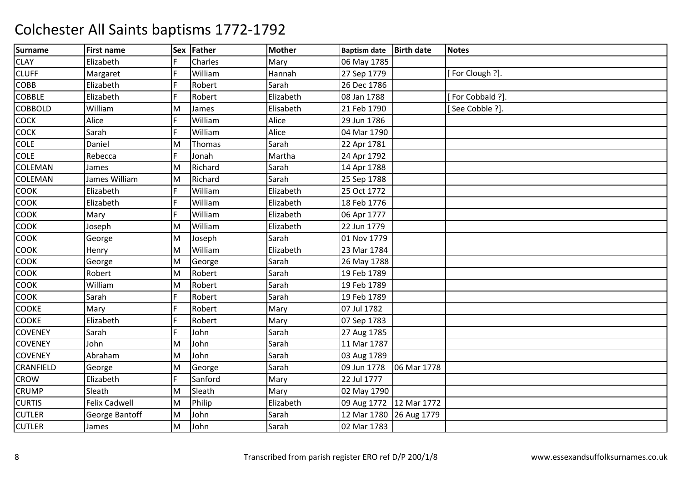| <b>Surname</b>   | <b>First name</b>    | <b>Sex</b> | Father  | <b>Mother</b> | <b>Baptism date</b>       | <b>Birth date</b> | <b>Notes</b>    |
|------------------|----------------------|------------|---------|---------------|---------------------------|-------------------|-----------------|
| <b>CLAY</b>      | Elizabeth            | F          | Charles | Mary          | 06 May 1785               |                   |                 |
| <b>CLUFF</b>     | Margaret             | F          | William | Hannah        | 27 Sep 1779               |                   | [For Clough ?]. |
| <b>COBB</b>      | Elizabeth            | F          | Robert  | Sarah         | 26 Dec 1786               |                   |                 |
| <b>COBBLE</b>    | Elizabeth            | F          | Robert  | Elizabeth     | 08 Jan 1788               |                   | For Cobbald ?]. |
| <b>COBBOLD</b>   | William              | M          | James   | Elisabeth     | 21 Feb 1790               |                   | [See Cobble ?]. |
| <b>COCK</b>      | Alice                | F          | William | Alice         | 29 Jun 1786               |                   |                 |
| COCK             | Sarah                | F          | William | Alice         | 04 Mar 1790               |                   |                 |
| <b>COLE</b>      | Daniel               | M          | Thomas  | Sarah         | 22 Apr 1781               |                   |                 |
| <b>COLE</b>      | Rebecca              | F          | Jonah   | Martha        | 24 Apr 1792               |                   |                 |
| <b>COLEMAN</b>   | James                | M          | Richard | Sarah         | 14 Apr 1788               |                   |                 |
| <b>COLEMAN</b>   | James William        | M          | Richard | Sarah         | 25 Sep 1788               |                   |                 |
| <b>COOK</b>      | Elizabeth            | F          | William | Elizabeth     | 25 Oct 1772               |                   |                 |
| <b>COOK</b>      | Elizabeth            | F          | William | Elizabeth     | 18 Feb 1776               |                   |                 |
| <b>COOK</b>      | Mary                 | F          | William | Elizabeth     | 06 Apr 1777               |                   |                 |
| <b>COOK</b>      | Joseph               | M          | William | Elizabeth     | 22 Jun 1779               |                   |                 |
| <b>COOK</b>      | George               | M          | Joseph  | Sarah         | 01 Nov 1779               |                   |                 |
| COOK             | Henry                | M          | William | Elizabeth     | 23 Mar 1784               |                   |                 |
| <b>COOK</b>      | George               | M          | George  | Sarah         | 26 May 1788               |                   |                 |
| COOK             | Robert               | M          | Robert  | Sarah         | 19 Feb 1789               |                   |                 |
| COOK             | William              | M          | Robert  | Sarah         | 19 Feb 1789               |                   |                 |
| <b>COOK</b>      | Sarah                | F          | Robert  | Sarah         | 19 Feb 1789               |                   |                 |
| <b>COOKE</b>     | Mary                 | F          | Robert  | Mary          | 07 Jul 1782               |                   |                 |
| <b>COOKE</b>     | Elizabeth            | F          | Robert  | Mary          | 07 Sep 1783               |                   |                 |
| <b>COVENEY</b>   | Sarah                | F          | John    | Sarah         | 27 Aug 1785               |                   |                 |
| <b>COVENEY</b>   | John                 | M          | John    | Sarah         | 11 Mar 1787               |                   |                 |
| <b>COVENEY</b>   | Abraham              | M          | John    | Sarah         | 03 Aug 1789               |                   |                 |
| <b>CRANFIELD</b> | George               | M          | George  | Sarah         | 09 Jun 1778               | 06 Mar 1778       |                 |
| <b>CROW</b>      | Elizabeth            | F          | Sanford | Mary          | 22 Jul 1777               |                   |                 |
| <b>CRUMP</b>     | Sleath               | M          | Sleath  | Mary          | 02 May 1790               |                   |                 |
| <b>CURTIS</b>    | <b>Felix Cadwell</b> | M          | Philip  | Elizabeth     | 09 Aug 1772   12 Mar 1772 |                   |                 |
| <b>CUTLER</b>    | George Bantoff       | M          | John    | Sarah         | 12 Mar 1780 26 Aug 1779   |                   |                 |
| <b>CUTLER</b>    | James                | M          | John    | Sarah         | 02 Mar 1783               |                   |                 |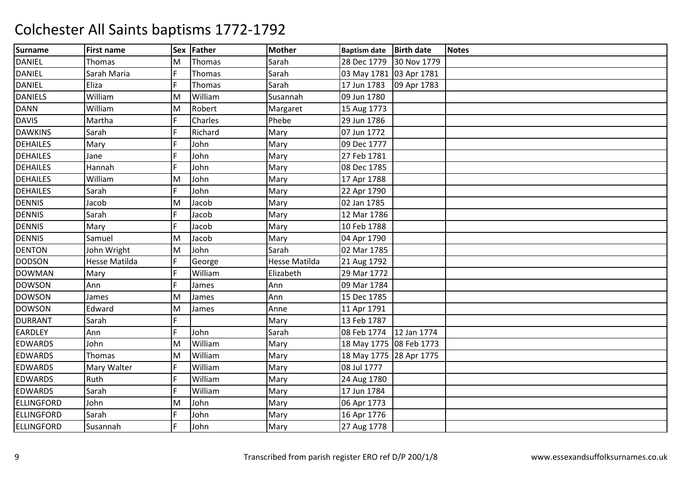| <b>Surname</b>    | <b>First name</b>    | <b>Sex</b> | Father  | <b>Mother</b> | <b>Baptism date</b>     | <b>Birth date</b> | <b>Notes</b> |
|-------------------|----------------------|------------|---------|---------------|-------------------------|-------------------|--------------|
| <b>DANIEL</b>     | Thomas               | M          | Thomas  | Sarah         | 28 Dec 1779             | 30 Nov 1779       |              |
| <b>DANIEL</b>     | Sarah Maria          | F          | Thomas  | Sarah         | 03 May 1781 03 Apr 1781 |                   |              |
| <b>DANIEL</b>     | Eliza                | F          | Thomas  | Sarah         | 17 Jun 1783             | 09 Apr 1783       |              |
| <b>DANIELS</b>    | William              | M          | William | Susannah      | 09 Jun 1780             |                   |              |
| <b>DANN</b>       | William              | M          | Robert  | Margaret      | 15 Aug 1773             |                   |              |
| <b>DAVIS</b>      | Martha               | F          | Charles | Phebe         | 29 Jun 1786             |                   |              |
| <b>DAWKINS</b>    | Sarah                | F          | Richard | Mary          | 07 Jun 1772             |                   |              |
| <b>DEHAILES</b>   | Mary                 | F          | John    | Mary          | 09 Dec 1777             |                   |              |
| <b>DEHAILES</b>   | Jane                 | F          | John    | Mary          | 27 Feb 1781             |                   |              |
| <b>DEHAILES</b>   | Hannah               | F          | John    | Mary          | 08 Dec 1785             |                   |              |
| <b>DEHAILES</b>   | William              | M          | John    | Mary          | 17 Apr 1788             |                   |              |
| <b>DEHAILES</b>   | Sarah                | F          | John    | Mary          | 22 Apr 1790             |                   |              |
| <b>DENNIS</b>     | Jacob                | M          | Jacob   | Mary          | 02 Jan 1785             |                   |              |
| <b>DENNIS</b>     | Sarah                | F          | Jacob   | Mary          | 12 Mar 1786             |                   |              |
| <b>DENNIS</b>     | Mary                 | F          | Jacob   | Mary          | 10 Feb 1788             |                   |              |
| <b>DENNIS</b>     | Samuel               | M          | Jacob   | Mary          | 04 Apr 1790             |                   |              |
| <b>DENTON</b>     | John Wright          | M          | John    | Sarah         | 02 Mar 1785             |                   |              |
| <b>DODSON</b>     | <b>Hesse Matilda</b> | F          | George  | Hesse Matilda | 21 Aug 1792             |                   |              |
| <b>DOWMAN</b>     | Mary                 | F          | William | Elizabeth     | 29 Mar 1772             |                   |              |
| <b>DOWSON</b>     | Ann                  | F          | James   | Ann           | 09 Mar 1784             |                   |              |
| <b>DOWSON</b>     | James                | M          | James   | Ann           | 15 Dec 1785             |                   |              |
| <b>DOWSON</b>     | Edward               | M          | James   | Anne          | 11 Apr 1791             |                   |              |
| <b>DURRANT</b>    | Sarah                | F          |         | Mary          | 13 Feb 1787             |                   |              |
| <b>EARDLEY</b>    | Ann                  | F          | John    | Sarah         | 08 Feb 1774             | 12 Jan 1774       |              |
| <b>EDWARDS</b>    | John                 | M          | William | Mary          | 18 May 1775 08 Feb 1773 |                   |              |
| <b>EDWARDS</b>    | Thomas               | M          | William | Mary          | 18 May 1775 28 Apr 1775 |                   |              |
| <b>EDWARDS</b>    | Mary Walter          | F          | William | Mary          | 08 Jul 1777             |                   |              |
| <b>EDWARDS</b>    | Ruth                 | lF.        | William | Mary          | 24 Aug 1780             |                   |              |
| <b>EDWARDS</b>    | Sarah                | F          | William | Mary          | 17 Jun 1784             |                   |              |
| ELLINGFORD        | John                 | M          | John    | Mary          | 06 Apr 1773             |                   |              |
| ELLINGFORD        | Sarah                | F          | John    | Mary          | 16 Apr 1776             |                   |              |
| <b>ELLINGFORD</b> | Susannah             | F          | John    | Mary          | 27 Aug 1778             |                   |              |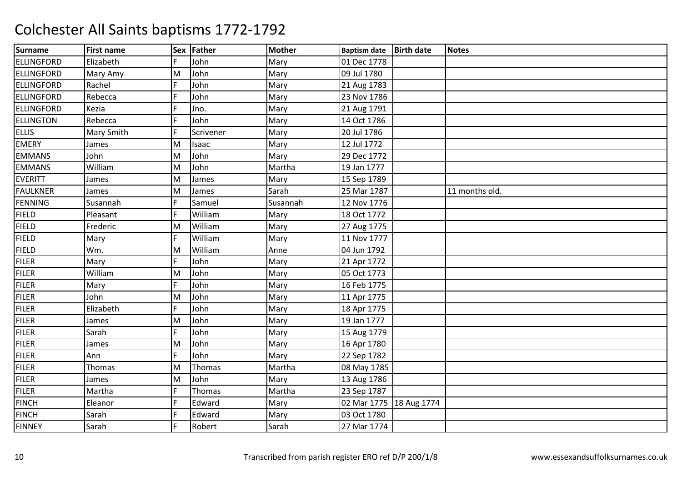| Surname           | <b>First name</b> |     | Sex Father | <b>Mother</b> | <b>Baptism date</b>       | <b>Birth date</b> | <b>Notes</b>   |
|-------------------|-------------------|-----|------------|---------------|---------------------------|-------------------|----------------|
| ELLINGFORD        | Elizabeth         | F   | John       | Mary          | 01 Dec 1778               |                   |                |
| <b>ELLINGFORD</b> | Mary Amy          | M   | John       | Mary          | 09 Jul 1780               |                   |                |
| ELLINGFORD        | Rachel            | F   | John       | Mary          | 21 Aug 1783               |                   |                |
| ELLINGFORD        | Rebecca           | F   | John       | Mary          | 23 Nov 1786               |                   |                |
| <b>ELLINGFORD</b> | Kezia             | F   | Jno.       | Mary          | 21 Aug 1791               |                   |                |
| <b>ELLINGTON</b>  | Rebecca           | F   | John       | Mary          | 14 Oct 1786               |                   |                |
| <b>ELLIS</b>      | Mary Smith        | F   | Scrivener  | Mary          | 20 Jul 1786               |                   |                |
| <b>EMERY</b>      | James             | M   | Isaac      | Mary          | 12 Jul 1772               |                   |                |
| <b>EMMANS</b>     | John              | M   | John       | Mary          | 29 Dec 1772               |                   |                |
| <b>EMMANS</b>     | William           | M   | John       | Martha        | 19 Jan 1777               |                   |                |
| <b>EVERITT</b>    | James             | M   | James      | Mary          | 15 Sep 1789               |                   |                |
| <b>FAULKNER</b>   | James             | M   | James      | Sarah         | 25 Mar 1787               |                   | 11 months old. |
| FENNING           | Susannah          | F   | Samuel     | Susannah      | 12 Nov 1776               |                   |                |
| <b>FIELD</b>      | Pleasant          | F   | William    | Mary          | 18 Oct 1772               |                   |                |
| <b>FIELD</b>      | Frederic          | M   | William    | Mary          | 27 Aug 1775               |                   |                |
| <b>FIELD</b>      | Mary              | F   | William    | Mary          | 11 Nov 1777               |                   |                |
| <b>FIELD</b>      | Wm.               | M   | William    | Anne          | 04 Jun 1792               |                   |                |
| <b>FILER</b>      | Mary              | F   | John       | Mary          | 21 Apr 1772               |                   |                |
| <b>FILER</b>      | William           | M   | John       | Mary          | 05 Oct 1773               |                   |                |
| <b>FILER</b>      | Mary              | F   | John       | Mary          | 16 Feb 1775               |                   |                |
| <b>FILER</b>      | John              | M   | John       | Mary          | 11 Apr 1775               |                   |                |
| <b>FILER</b>      | Elizabeth         | lF. | John       | Mary          | 18 Apr 1775               |                   |                |
| <b>FILER</b>      | James             | M   | John       | Mary          | 19 Jan 1777               |                   |                |
| <b>FILER</b>      | Sarah             | F   | John       | Mary          | 15 Aug 1779               |                   |                |
| <b>FILER</b>      | James             | M   | John       | Mary          | 16 Apr 1780               |                   |                |
| <b>FILER</b>      | Ann               | F   | John       | Mary          | 22 Sep 1782               |                   |                |
| <b>FILER</b>      | Thomas            | M   | Thomas     | Martha        | 08 May 1785               |                   |                |
| <b>FILER</b>      | James             | M   | John       | Mary          | 13 Aug 1786               |                   |                |
| <b>FILER</b>      | Martha            | F   | Thomas     | Martha        | 23 Sep 1787               |                   |                |
| <b>FINCH</b>      | Eleanor           | F   | Edward     | Mary          | 02 Mar 1775   18 Aug 1774 |                   |                |
| <b>FINCH</b>      | Sarah             | F   | Edward     | Mary          | 03 Oct 1780               |                   |                |
| <b>FINNEY</b>     | Sarah             | lF. | Robert     | Sarah         | 27 Mar 1774               |                   |                |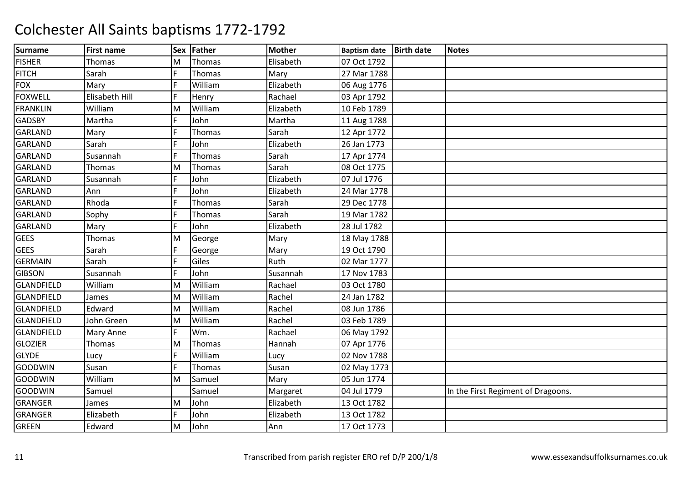| <b>Surname</b>    | <b>First name</b> | <b>Sex</b> | Father  | <b>Mother</b> | <b>Baptism date</b> | <b>Birth date</b> | <b>Notes</b>                       |
|-------------------|-------------------|------------|---------|---------------|---------------------|-------------------|------------------------------------|
| <b>FISHER</b>     | Thomas            | M          | Thomas  | Elisabeth     | 07 Oct 1792         |                   |                                    |
| <b>FITCH</b>      | Sarah             | F          | Thomas  | Mary          | 27 Mar 1788         |                   |                                    |
| <b>FOX</b>        | Mary              | F          | William | Elizabeth     | 06 Aug 1776         |                   |                                    |
| <b>FOXWELL</b>    | Elisabeth Hill    | F          | Henry   | Rachael       | 03 Apr 1792         |                   |                                    |
| <b>FRANKLIN</b>   | William           | M          | William | Elizabeth     | 10 Feb 1789         |                   |                                    |
| <b>GADSBY</b>     | Martha            | F          | John    | Martha        | 11 Aug 1788         |                   |                                    |
| <b>GARLAND</b>    | Mary              |            | Thomas  | Sarah         | 12 Apr 1772         |                   |                                    |
| <b>GARLAND</b>    | Sarah             |            | John    | Elizabeth     | 26 Jan 1773         |                   |                                    |
| <b>GARLAND</b>    | Susannah          | F          | Thomas  | Sarah         | 17 Apr 1774         |                   |                                    |
| <b>GARLAND</b>    | Thomas            | M          | Thomas  | Sarah         | 08 Oct 1775         |                   |                                    |
| <b>GARLAND</b>    | Susannah          | E          | John    | Elizabeth     | 07 Jul 1776         |                   |                                    |
| <b>GARLAND</b>    | Ann               | E          | John    | Elizabeth     | 24 Mar 1778         |                   |                                    |
| GARLAND           | Rhoda             | E          | Thomas  | Sarah         | 29 Dec 1778         |                   |                                    |
| <b>GARLAND</b>    | Sophy             | F          | Thomas  | Sarah         | 19 Mar 1782         |                   |                                    |
| <b>GARLAND</b>    | Mary              | F          | John    | Elizabeth     | 28 Jul 1782         |                   |                                    |
| <b>GEES</b>       | Thomas            | M          | George  | Mary          | 18 May 1788         |                   |                                    |
| <b>GEES</b>       | Sarah             | F          | George  | Mary          | 19 Oct 1790         |                   |                                    |
| <b>GERMAIN</b>    | Sarah             | E          | Giles   | Ruth          | 02 Mar 1777         |                   |                                    |
| <b>GIBSON</b>     | Susannah          | E          | John    | Susannah      | 17 Nov 1783         |                   |                                    |
| <b>GLANDFIELD</b> | William           | M          | William | Rachael       | 03 Oct 1780         |                   |                                    |
| <b>GLANDFIELD</b> | James             | M          | William | Rachel        | 24 Jan 1782         |                   |                                    |
| <b>GLANDFIELD</b> | Edward            | M          | William | Rachel        | 08 Jun 1786         |                   |                                    |
| <b>GLANDFIELD</b> | John Green        | M          | William | Rachel        | 03 Feb 1789         |                   |                                    |
| <b>GLANDFIELD</b> | <b>Mary Anne</b>  | F          | Wm.     | Rachael       | 06 May 1792         |                   |                                    |
| <b>GLOZIER</b>    | Thomas            | M          | Thomas  | Hannah        | 07 Apr 1776         |                   |                                    |
| <b>GLYDE</b>      | Lucy              | F          | William | Lucy          | 02 Nov 1788         |                   |                                    |
| <b>GOODWIN</b>    | Susan             | Ē          | Thomas  | Susan         | 02 May 1773         |                   |                                    |
| <b>GOODWIN</b>    | William           | M          | Samuel  | Mary          | 05 Jun 1774         |                   |                                    |
| <b>GOODWIN</b>    | Samuel            |            | Samuel  | Margaret      | 04 Jul 1779         |                   | In the First Regiment of Dragoons. |
| <b>GRANGER</b>    | James             | M          | John    | Elizabeth     | 13 Oct 1782         |                   |                                    |
| <b>GRANGER</b>    | Elizabeth         | F          | John    | Elizabeth     | 13 Oct 1782         |                   |                                    |
| <b>GREEN</b>      | Edward            | M          | John    | Ann           | 17 Oct 1773         |                   |                                    |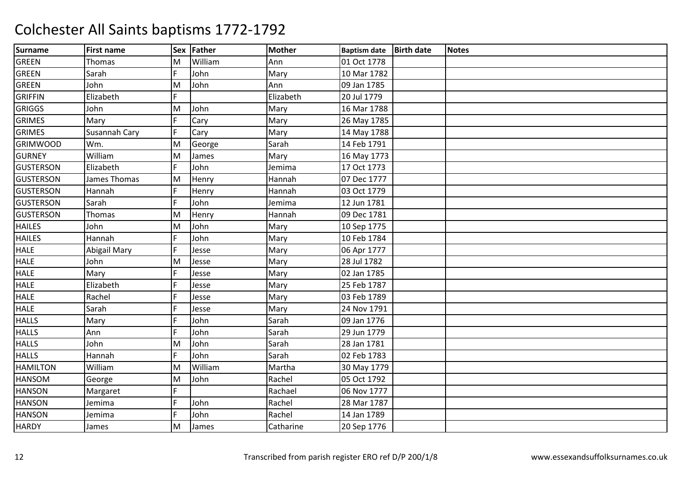| <b>Surname</b>   | <b>First name</b> | <b>Sex</b>     | Father  | <b>Mother</b> | <b>Baptism date</b> | <b>Birth date</b> | <b>Notes</b> |
|------------------|-------------------|----------------|---------|---------------|---------------------|-------------------|--------------|
| <b>GREEN</b>     | <b>Thomas</b>     | M              | William | Ann           | 01 Oct 1778         |                   |              |
| <b>GREEN</b>     | Sarah             | F              | John    | Mary          | 10 Mar 1782         |                   |              |
| <b>GREEN</b>     | John              | M              | John    | Ann           | 09 Jan 1785         |                   |              |
| <b>GRIFFIN</b>   | Elizabeth         |                |         | Elizabeth     | 20 Jul 1779         |                   |              |
| <b>GRIGGS</b>    | John              | M              | John    | Mary          | 16 Mar 1788         |                   |              |
| <b>GRIMES</b>    | Mary              | $\overline{F}$ | Cary    | Mary          | 26 May 1785         |                   |              |
| <b>GRIMES</b>    | Susannah Cary     | F              | Cary    | Mary          | 14 May 1788         |                   |              |
| <b>GRIMWOOD</b>  | Wm.               | M              | George  | Sarah         | 14 Feb 1791         |                   |              |
| <b>GURNEY</b>    | William           | M              | James   | Mary          | 16 May 1773         |                   |              |
| <b>GUSTERSON</b> | Elizabeth         | F.             | John    | Jemima        | 17 Oct 1773         |                   |              |
| <b>GUSTERSON</b> | James Thomas      | M              | Henry   | Hannah        | 07 Dec 1777         |                   |              |
| <b>GUSTERSON</b> | Hannah            | F              | Henry   | Hannah        | 03 Oct 1779         |                   |              |
| <b>GUSTERSON</b> | Sarah             | lF.            | John    | Jemima        | 12 Jun 1781         |                   |              |
| <b>GUSTERSON</b> | Thomas            | M              | Henry   | Hannah        | 09 Dec 1781         |                   |              |
| <b>HAILES</b>    | John              | M              | John    | Mary          | 10 Sep 1775         |                   |              |
| <b>HAILES</b>    | Hannah            | F              | John    | Mary          | 10 Feb 1784         |                   |              |
| <b>HALE</b>      | Abigail Mary      | F              | Jesse   | Mary          | 06 Apr 1777         |                   |              |
| <b>HALE</b>      | John              | M              | Jesse   | Mary          | 28 Jul 1782         |                   |              |
| <b>HALE</b>      | Mary              | F              | Jesse   | Mary          | 02 Jan 1785         |                   |              |
| <b>HALE</b>      | Elizabeth         | F              | Jesse   | Mary          | 25 Feb 1787         |                   |              |
| <b>HALE</b>      | Rachel            | F              | Jesse   | Mary          | 03 Feb 1789         |                   |              |
| <b>HALE</b>      | Sarah             | lF.            | Jesse   | Mary          | 24 Nov 1791         |                   |              |
| <b>HALLS</b>     | Mary              | F              | John    | Sarah         | 09 Jan 1776         |                   |              |
| <b>HALLS</b>     | Ann               | F              | John    | Sarah         | 29 Jun 1779         |                   |              |
| <b>HALLS</b>     | John              | M              | John    | Sarah         | 28 Jan 1781         |                   |              |
| <b>HALLS</b>     | Hannah            | F              | John    | Sarah         | 02 Feb 1783         |                   |              |
| <b>HAMILTON</b>  | William           | M              | William | Martha        | 30 May 1779         |                   |              |
| <b>HANSOM</b>    | George            | M              | John    | Rachel        | 05 Oct 1792         |                   |              |
| <b>HANSON</b>    | Margaret          | F.             |         | Rachael       | 06 Nov 1777         |                   |              |
| <b>HANSON</b>    | Jemima            | F              | John    | Rachel        | 28 Mar 1787         |                   |              |
| <b>HANSON</b>    | Jemima            | $\overline{F}$ | John    | Rachel        | 14 Jan 1789         |                   |              |
| <b>HARDY</b>     | James             | M              | James   | Catharine     | 20 Sep 1776         |                   |              |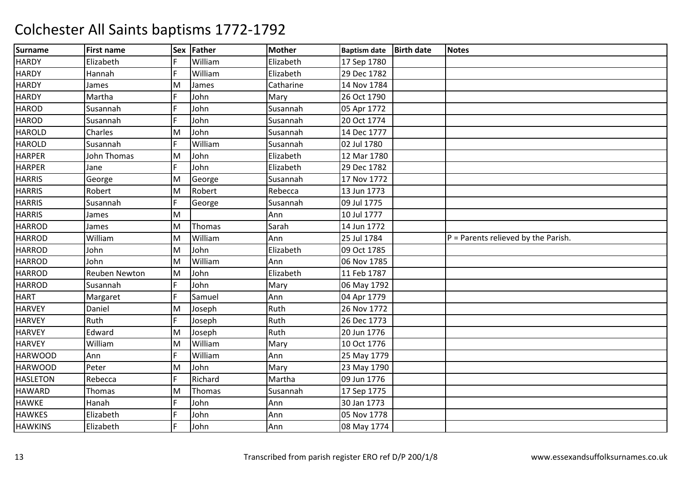| <b>Surname</b>  | <b>First name</b>    |   | Sex Father    | <b>Mother</b> | <b>Baptism date</b> | <b>Birth date</b> | <b>Notes</b>                          |
|-----------------|----------------------|---|---------------|---------------|---------------------|-------------------|---------------------------------------|
| <b>HARDY</b>    | Elizabeth            | F | William       | Elizabeth     | 17 Sep 1780         |                   |                                       |
| <b>HARDY</b>    | Hannah               | F | William       | Elizabeth     | 29 Dec 1782         |                   |                                       |
| <b>HARDY</b>    | James                | M | James         | Catharine     | 14 Nov 1784         |                   |                                       |
| <b>HARDY</b>    | Martha               | F | John          | Mary          | 26 Oct 1790         |                   |                                       |
| <b>HAROD</b>    | Susannah             | F | John          | Susannah      | 05 Apr 1772         |                   |                                       |
| <b>HAROD</b>    | Susannah             | F | John          | Susannah      | 20 Oct 1774         |                   |                                       |
| <b>HAROLD</b>   | Charles              | M | John          | Susannah      | 14 Dec 1777         |                   |                                       |
| <b>HAROLD</b>   | Susannah             | F | William       | Susannah      | 02 Jul 1780         |                   |                                       |
| <b>HARPER</b>   | John Thomas          | M | John          | Elizabeth     | 12 Mar 1780         |                   |                                       |
| <b>HARPER</b>   | Jane                 | F | John          | Elizabeth     | 29 Dec 1782         |                   |                                       |
| <b>HARRIS</b>   | George               | M | George        | Susannah      | 17 Nov 1772         |                   |                                       |
| <b>HARRIS</b>   | Robert               | M | Robert        | Rebecca       | 13 Jun 1773         |                   |                                       |
| <b>HARRIS</b>   | Susannah             | F | George        | Susannah      | 09 Jul 1775         |                   |                                       |
| <b>HARRIS</b>   | James                | M |               | Ann           | 10 Jul 1777         |                   |                                       |
| <b>HARROD</b>   | James                | M | <b>Thomas</b> | Sarah         | 14 Jun 1772         |                   |                                       |
| <b>HARROD</b>   | William              | M | William       | Ann           | 25 Jul 1784         |                   | $P =$ Parents relieved by the Parish. |
| <b>HARROD</b>   | John                 | M | John          | Elizabeth     | 09 Oct 1785         |                   |                                       |
| <b>HARROD</b>   | John                 | M | William       | Ann           | 06 Nov 1785         |                   |                                       |
| <b>HARROD</b>   | <b>Reuben Newton</b> | M | John          | Elizabeth     | 11 Feb 1787         |                   |                                       |
| <b>HARROD</b>   | Susannah             | F | John          | Mary          | 06 May 1792         |                   |                                       |
| <b>HART</b>     | Margaret             | F | Samuel        | Ann           | 04 Apr 1779         |                   |                                       |
| <b>HARVEY</b>   | Daniel               | M | Joseph        | Ruth          | 26 Nov 1772         |                   |                                       |
| <b>HARVEY</b>   | Ruth                 | F | Joseph        | Ruth          | 26 Dec 1773         |                   |                                       |
| <b>HARVEY</b>   | Edward               | M | Joseph        | Ruth          | 20 Jun 1776         |                   |                                       |
| <b>HARVEY</b>   | William              | M | William       | Mary          | 10 Oct 1776         |                   |                                       |
| <b>HARWOOD</b>  | Ann                  | E | William       | Ann           | 25 May 1779         |                   |                                       |
| <b>HARWOOD</b>  | Peter                | M | John          | Mary          | 23 May 1790         |                   |                                       |
| <b>HASLETON</b> | Rebecca              | F | Richard       | Martha        | 09 Jun 1776         |                   |                                       |
| <b>HAWARD</b>   | Thomas               | M | Thomas        | Susannah      | 17 Sep 1775         |                   |                                       |
| <b>HAWKE</b>    | Hanah                | F | John          | Ann           | 30 Jan 1773         |                   |                                       |
| <b>HAWKES</b>   | Elizabeth            | F | John          | Ann           | 05 Nov 1778         |                   |                                       |
| <b>HAWKINS</b>  | Elizabeth            | F | John          | Ann           | 08 May 1774         |                   |                                       |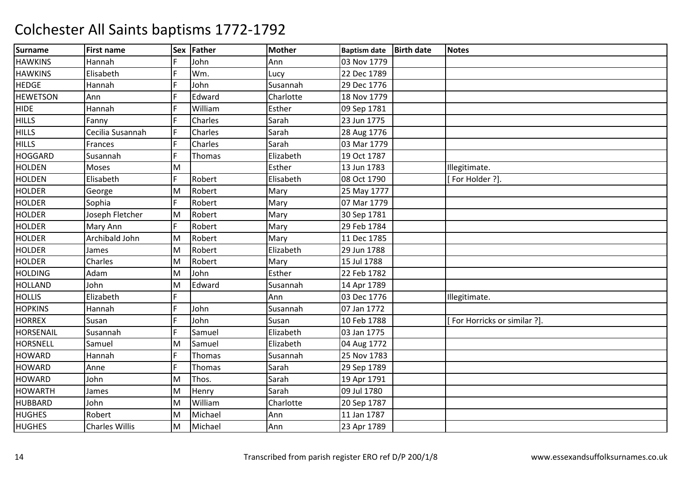| Surname          | <b>First name</b>     | <b>Sex</b> | Father  | <b>Mother</b> | <b>Baptism date</b> | <b>Birth date</b> | <b>Notes</b>                 |
|------------------|-----------------------|------------|---------|---------------|---------------------|-------------------|------------------------------|
| <b>HAWKINS</b>   | Hannah                | F          | John    | Ann           | 03 Nov 1779         |                   |                              |
| <b>HAWKINS</b>   | Elisabeth             | F          | Wm.     | Lucy          | 22 Dec 1789         |                   |                              |
| <b>HEDGE</b>     | Hannah                | F          | John    | Susannah      | 29 Dec 1776         |                   |                              |
| <b>HEWETSON</b>  | Ann                   | E          | Edward  | Charlotte     | 18 Nov 1779         |                   |                              |
| <b>HIDE</b>      | Hannah                | F          | William | Esther        | 09 Sep 1781         |                   |                              |
| <b>HILLS</b>     | Fanny                 | F          | Charles | Sarah         | 23 Jun 1775         |                   |                              |
| <b>HILLS</b>     | Cecilia Susannah      | F          | Charles | Sarah         | 28 Aug 1776         |                   |                              |
| <b>HILLS</b>     | Frances               | F          | Charles | Sarah         | 03 Mar 1779         |                   |                              |
| <b>HOGGARD</b>   | Susannah              | F          | Thomas  | Elizabeth     | 19 Oct 1787         |                   |                              |
| <b>HOLDEN</b>    | Moses                 | M          |         | Esther        | 13 Jun 1783         |                   | Illegitimate.                |
| <b>HOLDEN</b>    | Elisabeth             | F          | Robert  | Elisabeth     | 08 Oct 1790         |                   | [For Holder ?].              |
| <b>HOLDER</b>    | George                | M          | Robert  | Mary          | 25 May 1777         |                   |                              |
| <b>HOLDER</b>    | Sophia                | F          | Robert  | Mary          | 07 Mar 1779         |                   |                              |
| <b>HOLDER</b>    | Joseph Fletcher       | M          | Robert  | Mary          | 30 Sep 1781         |                   |                              |
| <b>HOLDER</b>    | Mary Ann              | F          | Robert  | Mary          | 29 Feb 1784         |                   |                              |
| <b>HOLDER</b>    | Archibald John        | M          | Robert  | Mary          | 11 Dec 1785         |                   |                              |
| <b>HOLDER</b>    | James                 | M          | Robert  | Elizabeth     | 29 Jun 1788         |                   |                              |
| <b>HOLDER</b>    | Charles               | M          | Robert  | Mary          | 15 Jul 1788         |                   |                              |
| <b>HOLDING</b>   | Adam                  | M          | John    | Esther        | 22 Feb 1782         |                   |                              |
| <b>HOLLAND</b>   | John                  | M          | Edward  | Susannah      | 14 Apr 1789         |                   |                              |
| <b>HOLLIS</b>    | Elizabeth             | F          |         | Ann           | 03 Dec 1776         |                   | Illegitimate.                |
| <b>HOPKINS</b>   | Hannah                | F          | John    | Susannah      | 07 Jan 1772         |                   |                              |
| <b>HORREX</b>    | Susan                 | F          | John    | Susan         | 10 Feb 1788         |                   | [For Horricks or similar ?]. |
| <b>HORSENAIL</b> | Susannah              | F          | Samuel  | Elizabeth     | 03 Jan 1775         |                   |                              |
| <b>HORSNELL</b>  | Samuel                | M          | Samuel  | Elizabeth     | 04 Aug 1772         |                   |                              |
| <b>HOWARD</b>    | Hannah                | F.         | Thomas  | Susannah      | 25 Nov 1783         |                   |                              |
| <b>HOWARD</b>    | Anne                  | F          | Thomas  | Sarah         | 29 Sep 1789         |                   |                              |
| <b>HOWARD</b>    | John                  | M          | Thos.   | Sarah         | 19 Apr 1791         |                   |                              |
| <b>HOWARTH</b>   | James                 | M          | Henry   | Sarah         | 09 Jul 1780         |                   |                              |
| <b>HUBBARD</b>   | John                  | M          | William | Charlotte     | 20 Sep 1787         |                   |                              |
| <b>HUGHES</b>    | Robert                | M          | Michael | Ann           | 11 Jan 1787         |                   |                              |
| <b>HUGHES</b>    | <b>Charles Willis</b> | M          | Michael | Ann           | 23 Apr 1789         |                   |                              |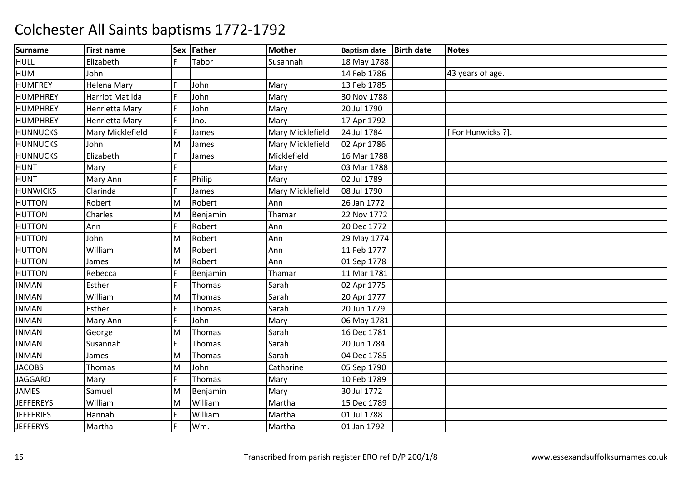| <b>Surname</b>   | <b>First name</b> |    | Sex Father    | <b>Mother</b>    | <b>Baptism date</b> | <b>Birth date</b> | <b>Notes</b>      |
|------------------|-------------------|----|---------------|------------------|---------------------|-------------------|-------------------|
| <b>HULL</b>      | Elizabeth         | F. | Tabor         | Susannah         | 18 May 1788         |                   |                   |
| <b>HUM</b>       | John              |    |               |                  | 14 Feb 1786         |                   | 43 years of age.  |
| <b>HUMFREY</b>   | Helena Mary       | F  | John          | Mary             | 13 Feb 1785         |                   |                   |
| <b>HUMPHREY</b>  | Harriot Matilda   | F  | John          | Mary             | 30 Nov 1788         |                   |                   |
| HUMPHREY         | Henrietta Mary    | F  | John          | Mary             | 20 Jul 1790         |                   |                   |
| HUMPHREY         | Henrietta Mary    | F  | Jno.          | Mary             | 17 Apr 1792         |                   |                   |
| <b>HUNNUCKS</b>  | Mary Micklefield  | F  | James         | Mary Micklefield | 24 Jul 1784         |                   | [For Hunwicks ?]. |
| <b>HUNNUCKS</b>  | John              | M  | James         | Mary Micklefield | 02 Apr 1786         |                   |                   |
| <b>HUNNUCKS</b>  | Elizabeth         | F  | James         | Micklefield      | 16 Mar 1788         |                   |                   |
| <b>HUNT</b>      | Mary              | E  |               | Mary             | 03 Mar 1788         |                   |                   |
| <b>HUNT</b>      | Mary Ann          | F  | Philip        | Mary             | 02 Jul 1789         |                   |                   |
| <b>HUNWICKS</b>  | Clarinda          | E  | James         | Mary Micklefield | 08 Jul 1790         |                   |                   |
| <b>HUTTON</b>    | Robert            | M  | Robert        | Ann              | 26 Jan 1772         |                   |                   |
| <b>HUTTON</b>    | Charles           | M  | Benjamin      | Thamar           | 22 Nov 1772         |                   |                   |
| <b>HUTTON</b>    | Ann               | F  | Robert        | Ann              | 20 Dec 1772         |                   |                   |
| <b>HUTTON</b>    | John              | M  | Robert        | Ann              | 29 May 1774         |                   |                   |
| <b>HUTTON</b>    | William           | M  | Robert        | Ann              | 11 Feb 1777         |                   |                   |
| <b>HUTTON</b>    | James             | M  | Robert        | Ann              | 01 Sep 1778         |                   |                   |
| <b>HUTTON</b>    | Rebecca           | F  | Benjamin      | Thamar           | 11 Mar 1781         |                   |                   |
| <b>INMAN</b>     | Esther            | F  | <b>Thomas</b> | Sarah            | 02 Apr 1775         |                   |                   |
| <b>INMAN</b>     | William           | M  | Thomas        | Sarah            | 20 Apr 1777         |                   |                   |
| <b>INMAN</b>     | Esther            | F  | <b>Thomas</b> | Sarah            | 20 Jun 1779         |                   |                   |
| <b>INMAN</b>     | Mary Ann          | F  | John          | Mary             | 06 May 1781         |                   |                   |
| <b>INMAN</b>     | George            | M  | Thomas        | Sarah            | 16 Dec 1781         |                   |                   |
| <b>INMAN</b>     | Susannah          | F  | Thomas        | Sarah            | 20 Jun 1784         |                   |                   |
| <b>INMAN</b>     | James             | M  | Thomas        | Sarah            | 04 Dec 1785         |                   |                   |
| <b>JACOBS</b>    | Thomas            | M  | John          | Catharine        | 05 Sep 1790         |                   |                   |
| <b>JAGGARD</b>   | Mary              | F  | Thomas        | Mary             | 10 Feb 1789         |                   |                   |
| <b>JAMES</b>     | Samuel            | M  | Benjamin      | Mary             | 30 Jul 1772         |                   |                   |
| <b>JEFFEREYS</b> | William           | M  | William       | Martha           | 15 Dec 1789         |                   |                   |
| <b>JEFFERIES</b> | Hannah            | F  | William       | Martha           | 01 Jul 1788         |                   |                   |
| <b>JEFFERYS</b>  | Martha            | F  | Wm.           | Martha           | 01 Jan 1792         |                   |                   |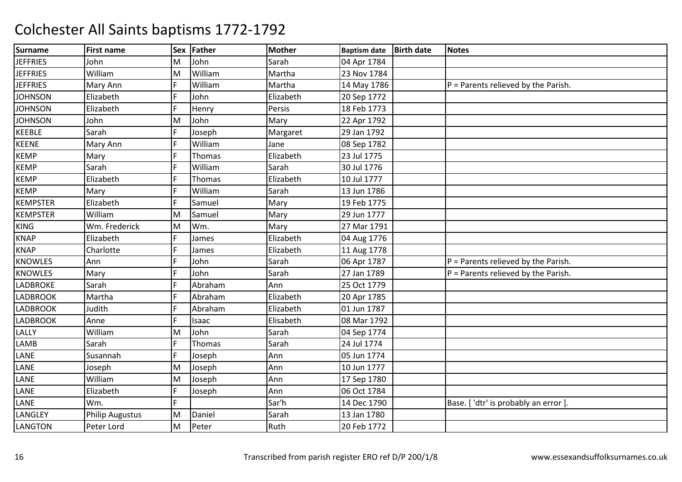| <b>Surname</b>  | <b>First name</b>      | <b>Sex</b> | Father        | <b>Mother</b> | <b>Baptism date</b> | <b>Birth date</b> | <b>Notes</b>                          |
|-----------------|------------------------|------------|---------------|---------------|---------------------|-------------------|---------------------------------------|
| <b>JEFFRIES</b> | John                   | M          | John          | Sarah         | 04 Apr 1784         |                   |                                       |
| <b>JEFFRIES</b> | William                | M          | William       | Martha        | 23 Nov 1784         |                   |                                       |
| <b>JEFFRIES</b> | Mary Ann               | F          | William       | Martha        | 14 May 1786         |                   | $P =$ Parents relieved by the Parish. |
| <b>JOHNSON</b>  | Elizabeth              | F          | John          | Elizabeth     | 20 Sep 1772         |                   |                                       |
| <b>JOHNSON</b>  | Elizabeth              | F.         | Henry         | Persis        | 18 Feb 1773         |                   |                                       |
| <b>JOHNSON</b>  | John                   | M          | John          | Mary          | 22 Apr 1792         |                   |                                       |
| <b>KEEBLE</b>   | Sarah                  | F          | Joseph        | Margaret      | 29 Jan 1792         |                   |                                       |
| <b>KEENE</b>    | Mary Ann               | F          | William       | Jane          | 08 Sep 1782         |                   |                                       |
| <b>KEMP</b>     | Mary                   | F          | <b>Thomas</b> | Elizabeth     | 23 Jul 1775         |                   |                                       |
| <b>KEMP</b>     | Sarah                  | F          | William       | Sarah         | 30 Jul 1776         |                   |                                       |
| <b>KEMP</b>     | Elizabeth              | F          | Thomas        | Elizabeth     | 10 Jul 1777         |                   |                                       |
| <b>KEMP</b>     | Mary                   | F          | William       | Sarah         | 13 Jun 1786         |                   |                                       |
| <b>KEMPSTER</b> | Elizabeth              | F          | Samuel        | Mary          | 19 Feb 1775         |                   |                                       |
| <b>KEMPSTER</b> | William                | M          | Samuel        | Mary          | 29 Jun 1777         |                   |                                       |
| <b>KING</b>     | Wm. Frederick          | M          | Wm.           | Mary          | 27 Mar 1791         |                   |                                       |
| <b>KNAP</b>     | Elizabeth              | F          | James         | Elizabeth     | 04 Aug 1776         |                   |                                       |
| <b>KNAP</b>     | Charlotte              | F          | James         | Elizabeth     | 11 Aug 1778         |                   |                                       |
| <b>KNOWLES</b>  | Ann                    | E          | John          | Sarah         | 06 Apr 1787         |                   | P = Parents relieved by the Parish.   |
| <b>KNOWLES</b>  | Mary                   | F          | John          | Sarah         | 27 Jan 1789         |                   | $P =$ Parents relieved by the Parish. |
| LADBROKE        | Sarah                  | F          | Abraham       | Ann           | 25 Oct 1779         |                   |                                       |
| <b>LADBROOK</b> | Martha                 | F          | Abraham       | Elizabeth     | 20 Apr 1785         |                   |                                       |
| <b>LADBROOK</b> | Judith                 | F          | Abraham       | Elizabeth     | 01 Jun 1787         |                   |                                       |
| <b>LADBROOK</b> | Anne                   | F          | Isaac         | Elisabeth     | 08 Mar 1792         |                   |                                       |
| <b>LALLY</b>    | William                | M          | John          | Sarah         | 04 Sep 1774         |                   |                                       |
| LAMB            | Sarah                  | F          | Thomas        | Sarah         | 24 Jul 1774         |                   |                                       |
| LANE            | Susannah               | F          | Joseph        | Ann           | 05 Jun 1774         |                   |                                       |
| LANE            | Joseph                 | M          | Joseph        | Ann           | 10 Jun 1777         |                   |                                       |
| LANE            | William                | M          | Joseph        | Ann           | 17 Sep 1780         |                   |                                       |
| LANE            | Elizabeth              | F          | Joseph        | Ann           | 06 Oct 1784         |                   |                                       |
| LANE            | Wm.                    | F.         |               | Sar'h         | 14 Dec 1790         |                   | Base. ['dtr' is probably an error]    |
| LANGLEY         | <b>Philip Augustus</b> | M          | Daniel        | Sarah         | 13 Jan 1780         |                   |                                       |
| <b>LANGTON</b>  | Peter Lord             | M          | Peter         | Ruth          | 20 Feb 1772         |                   |                                       |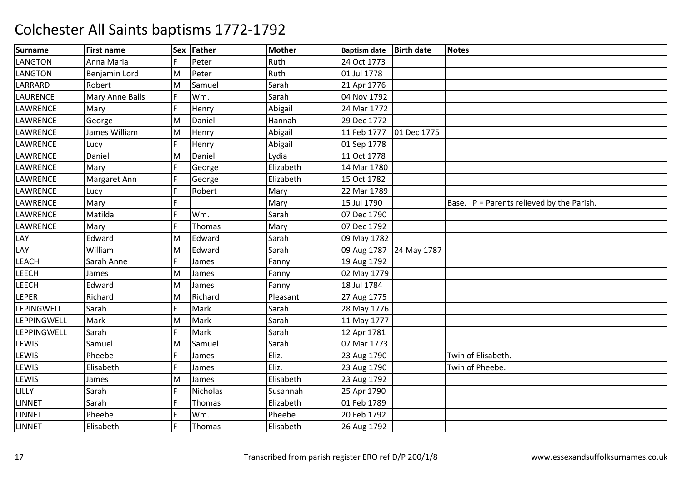| <b>Surname</b>     | <b>First name</b> | <b>Sex</b> | Father          | <b>Mother</b> | <b>Baptism date</b>     | <b>Birth date</b> | <b>Notes</b>                                |
|--------------------|-------------------|------------|-----------------|---------------|-------------------------|-------------------|---------------------------------------------|
| LANGTON            | Anna Maria        | F          | Peter           | Ruth          | 24 Oct 1773             |                   |                                             |
| LANGTON            | Benjamin Lord     | M          | Peter           | Ruth          | 01 Jul 1778             |                   |                                             |
| LARRARD            | Robert            | M          | Samuel          | Sarah         | 21 Apr 1776             |                   |                                             |
| <b>LAURENCE</b>    | Mary Anne Balls   | F          | Wm.             | Sarah         | 04 Nov 1792             |                   |                                             |
| LAWRENCE           | Mary              | F          | Henry           | Abigail       | 24 Mar 1772             |                   |                                             |
| LAWRENCE           | George            | M          | Daniel          | Hannah        | 29 Dec 1772             |                   |                                             |
| LAWRENCE           | James William     | M          | Henry           | Abigail       | 11 Feb 1777             | 01 Dec 1775       |                                             |
| <b>LAWRENCE</b>    | Lucy              | F          | Henry           | Abigail       | 01 Sep 1778             |                   |                                             |
| LAWRENCE           | Daniel            | M          | Daniel          | Lydia         | 11 Oct 1778             |                   |                                             |
| LAWRENCE           | Mary              | F          | George          | Elizabeth     | 14 Mar 1780             |                   |                                             |
| LAWRENCE           | Margaret Ann      | F          | George          | Elizabeth     | 15 Oct 1782             |                   |                                             |
| <b>LAWRENCE</b>    | Lucy              | F          | Robert          | Mary          | 22 Mar 1789             |                   |                                             |
| LAWRENCE           | Mary              | F.         |                 | Mary          | 15 Jul 1790             |                   | Base. $P =$ Parents relieved by the Parish. |
| LAWRENCE           | Matilda           | F          | Wm.             | Sarah         | 07 Dec 1790             |                   |                                             |
| LAWRENCE           | Mary              | F          | Thomas          | Mary          | 07 Dec 1792             |                   |                                             |
| LAY                | Edward            | M          | Edward          | Sarah         | 09 May 1782             |                   |                                             |
| LAY                | William           | M          | Edward          | Sarah         | 09 Aug 1787 24 May 1787 |                   |                                             |
| <b>LEACH</b>       | Sarah Anne        | F          | James           | Fanny         | 19 Aug 1792             |                   |                                             |
| LEECH              | James             | M          | James           | Fanny         | 02 May 1779             |                   |                                             |
| <b>LEECH</b>       | Edward            | M          | James           | Fanny         | 18 Jul 1784             |                   |                                             |
| LEPER              | Richard           | M          | Richard         | Pleasant      | 27 Aug 1775             |                   |                                             |
| <b>LEPINGWELL</b>  | Sarah             | F          | Mark            | Sarah         | 28 May 1776             |                   |                                             |
| <b>LEPPINGWELL</b> | Mark              | M          | Mark            | Sarah         | 11 May 1777             |                   |                                             |
| <b>LEPPINGWELL</b> | Sarah             | F          | Mark            | Sarah         | 12 Apr 1781             |                   |                                             |
| LEWIS              | Samuel            | M          | Samuel          | Sarah         | 07 Mar 1773             |                   |                                             |
| LEWIS              | Pheebe            | F          | James           | Eliz.         | 23 Aug 1790             |                   | Twin of Elisabeth.                          |
| LEWIS              | Elisabeth         | F          | James           | Eliz.         | 23 Aug 1790             |                   | Twin of Pheebe.                             |
| LEWIS              | James             | M          | James           | Elisabeth     | 23 Aug 1792             |                   |                                             |
| LILLY              | Sarah             | F.         | <b>Nicholas</b> | Susannah      | 25 Apr 1790             |                   |                                             |
| <b>LINNET</b>      | Sarah             | F          | Thomas          | Elizabeth     | 01 Feb 1789             |                   |                                             |
| <b>LINNET</b>      | Pheebe            | F          | Wm.             | Pheebe        | 20 Feb 1792             |                   |                                             |
| <b>LINNET</b>      | Elisabeth         | F          | Thomas          | Elisabeth     | 26 Aug 1792             |                   |                                             |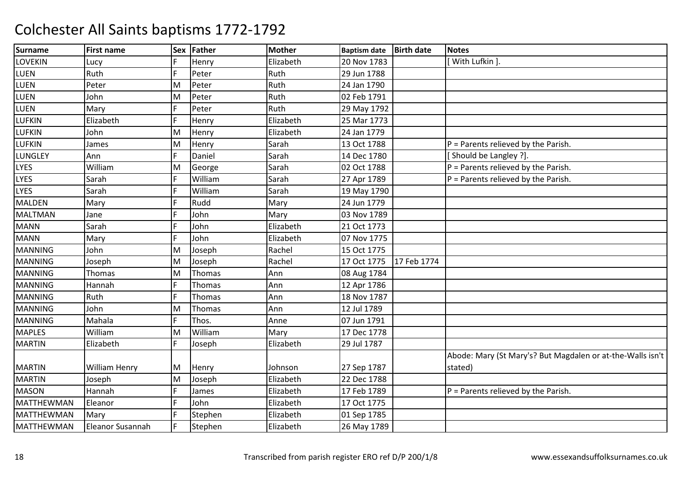| <b>Surname</b>    | <b>First name</b> | <b>Sex</b> | Father  | <b>Mother</b> | <b>Baptism date</b> | <b>Birth date</b> | <b>Notes</b>                                               |
|-------------------|-------------------|------------|---------|---------------|---------------------|-------------------|------------------------------------------------------------|
| <b>LOVEKIN</b>    | Lucy              | F          | Henry   | Elizabeth     | 20 Nov 1783         |                   | With Lufkin ]                                              |
| LUEN              | Ruth              | F          | Peter   | Ruth          | 29 Jun 1788         |                   |                                                            |
| LUEN              | Peter             | M          | Peter   | Ruth          | 24 Jan 1790         |                   |                                                            |
| <b>LUEN</b>       | John              | M          | Peter   | Ruth          | 02 Feb 1791         |                   |                                                            |
| LUEN              | Mary              | F          | Peter   | Ruth          | 29 May 1792         |                   |                                                            |
| <b>LUFKIN</b>     | Elizabeth         | F          | Henry   | Elizabeth     | 25 Mar 1773         |                   |                                                            |
| <b>LUFKIN</b>     | John              | M          | Henry   | Elizabeth     | 24 Jan 1779         |                   |                                                            |
| <b>LUFKIN</b>     | James             | M          | Henry   | Sarah         | 13 Oct 1788         |                   | $P =$ Parents relieved by the Parish.                      |
| <b>LUNGLEY</b>    | Ann               | F          | Daniel  | Sarah         | 14 Dec 1780         |                   | [Should be Langley ?].                                     |
| <b>LYES</b>       | William           | M          | George  | Sarah         | 02 Oct 1788         |                   | $P =$ Parents relieved by the Parish.                      |
| <b>LYES</b>       | Sarah             | F          | William | Sarah         | 27 Apr 1789         |                   | $P =$ Parents relieved by the Parish.                      |
| <b>LYES</b>       | Sarah             | F          | William | Sarah         | 19 May 1790         |                   |                                                            |
| <b>MALDEN</b>     | Mary              | E          | Rudd    | Mary          | 24 Jun 1779         |                   |                                                            |
| <b>MALTMAN</b>    | Jane              | F          | John    | Mary          | 03 Nov 1789         |                   |                                                            |
| <b>MANN</b>       | Sarah             | F          | John    | Elizabeth     | 21 Oct 1773         |                   |                                                            |
| <b>MANN</b>       | Mary              | F          | John    | Elizabeth     | 07 Nov 1775         |                   |                                                            |
| <b>MANNING</b>    | John              | M          | Joseph  | Rachel        | 15 Oct 1775         |                   |                                                            |
| <b>MANNING</b>    | Joseph            | M          | Joseph  | Rachel        | 17 Oct 1775         | 17 Feb 1774       |                                                            |
| <b>MANNING</b>    | Thomas            | M          | Thomas  | Ann           | 08 Aug 1784         |                   |                                                            |
| <b>MANNING</b>    | Hannah            | F          | Thomas  | Ann           | 12 Apr 1786         |                   |                                                            |
| <b>MANNING</b>    | Ruth              | F          | Thomas  | Ann           | 18 Nov 1787         |                   |                                                            |
| <b>MANNING</b>    | John              | M          | Thomas  | Ann           | 12 Jul 1789         |                   |                                                            |
| <b>MANNING</b>    | Mahala            | F          | Thos.   | Anne          | 07 Jun 1791         |                   |                                                            |
| <b>MAPLES</b>     | William           | M          | William | Mary          | 17 Dec 1778         |                   |                                                            |
| <b>MARTIN</b>     | Elizabeth         | E          | Joseph  | Elizabeth     | 29 Jul 1787         |                   |                                                            |
|                   |                   |            |         |               |                     |                   | Abode: Mary (St Mary's? But Magdalen or at-the-Walls isn't |
| <b>MARTIN</b>     | William Henry     | M          | Henry   | Johnson       | 27 Sep 1787         |                   | stated)                                                    |
| <b>MARTIN</b>     | Joseph            | M          | Joseph  | Elizabeth     | 22 Dec 1788         |                   |                                                            |
| <b>MASON</b>      | Hannah            | F          | James   | Elizabeth     | 17 Feb 1789         |                   | $P =$ Parents relieved by the Parish.                      |
| MATTHEWMAN        | Eleanor           | F          | John    | Elizabeth     | 17 Oct 1775         |                   |                                                            |
| <b>MATTHEWMAN</b> | Mary              | F          | Stephen | Elizabeth     | 01 Sep 1785         |                   |                                                            |
| <b>MATTHEWMAN</b> | Eleanor Susannah  | F          | Stephen | Elizabeth     | 26 May 1789         |                   |                                                            |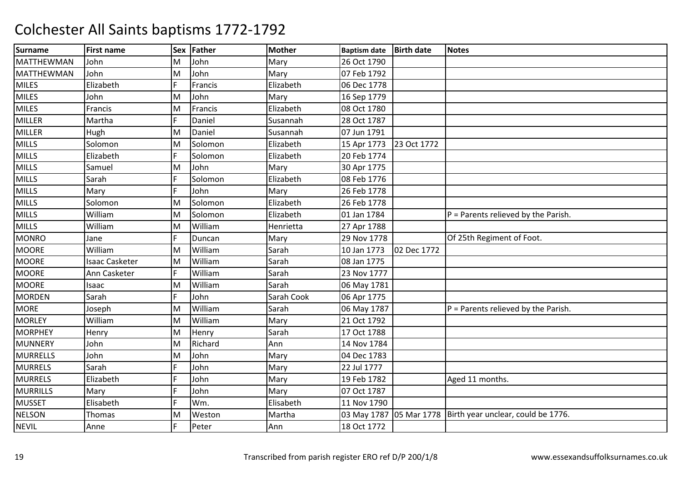| <b>Surname</b>    | <b>First name</b>     | <b>Sex</b> | Father  | <b>Mother</b> | <b>Baptism date</b> | <b>Birth date</b> | <b>Notes</b>                                                 |
|-------------------|-----------------------|------------|---------|---------------|---------------------|-------------------|--------------------------------------------------------------|
| <b>MATTHEWMAN</b> | John                  | M          | John    | Mary          | 26 Oct 1790         |                   |                                                              |
| <b>MATTHEWMAN</b> | John                  | M          | John    | Mary          | 07 Feb 1792         |                   |                                                              |
| <b>MILES</b>      | Elizabeth             | F          | Francis | Elizabeth     | 06 Dec 1778         |                   |                                                              |
| <b>MILES</b>      | John                  | M          | John    | Mary          | 16 Sep 1779         |                   |                                                              |
| <b>MILES</b>      | Francis               | M          | Francis | Elizabeth     | 08 Oct 1780         |                   |                                                              |
| MILLER            | Martha                | F          | Daniel  | Susannah      | 28 Oct 1787         |                   |                                                              |
| MILLER            | Hugh                  | M          | Daniel  | Susannah      | 07 Jun 1791         |                   |                                                              |
| <b>MILLS</b>      | Solomon               | M          | Solomon | Elizabeth     | 15 Apr 1773         | 23 Oct 1772       |                                                              |
| <b>MILLS</b>      | Elizabeth             | F          | Solomon | Elizabeth     | 20 Feb 1774         |                   |                                                              |
| <b>MILLS</b>      | Samuel                | M          | John    | Mary          | 30 Apr 1775         |                   |                                                              |
| <b>MILLS</b>      | Sarah                 | F          | Solomon | Elizabeth     | 08 Feb 1776         |                   |                                                              |
| <b>MILLS</b>      | Mary                  | F          | John    | Mary          | 26 Feb 1778         |                   |                                                              |
| <b>MILLS</b>      | Solomon               | M          | Solomon | Elizabeth     | 26 Feb 1778         |                   |                                                              |
| <b>MILLS</b>      | William               | M          | Solomon | Elizabeth     | 01 Jan 1784         |                   | $P =$ Parents relieved by the Parish.                        |
| <b>MILLS</b>      | William               | M          | William | Henrietta     | 27 Apr 1788         |                   |                                                              |
| <b>MONRO</b>      | Jane                  | F          | Duncan  | Mary          | 29 Nov 1778         |                   | Of 25th Regiment of Foot.                                    |
| <b>MOORE</b>      | William               | M          | William | Sarah         | 10 Jan 1773         | 02 Dec 1772       |                                                              |
| <b>MOORE</b>      | <b>Isaac Casketer</b> | M          | William | Sarah         | 08 Jan 1775         |                   |                                                              |
| <b>MOORE</b>      | Ann Casketer          |            | William | Sarah         | 23 Nov 1777         |                   |                                                              |
| <b>MOORE</b>      | Isaac                 | M          | William | Sarah         | 06 May 1781         |                   |                                                              |
| <b>MORDEN</b>     | Sarah                 | F          | John    | Sarah Cook    | 06 Apr 1775         |                   |                                                              |
| <b>MORE</b>       | Joseph                | M          | William | Sarah         | 06 May 1787         |                   | $P =$ Parents relieved by the Parish.                        |
| <b>MORLEY</b>     | William               | M          | William | Mary          | 21 Oct 1792         |                   |                                                              |
| <b>MORPHEY</b>    | Henry                 | M          | Henry   | Sarah         | 17 Oct 1788         |                   |                                                              |
| MUNNERY           | John                  | M          | Richard | Ann           | 14 Nov 1784         |                   |                                                              |
| <b>MURRELLS</b>   | John                  | M          | John    | Mary          | 04 Dec 1783         |                   |                                                              |
| <b>MURRELS</b>    | Sarah                 | F          | John    | Mary          | 22 Jul 1777         |                   |                                                              |
| <b>MURRELS</b>    | Elizabeth             | F          | John    | Mary          | 19 Feb 1782         |                   | Aged 11 months.                                              |
| <b>MURRILLS</b>   | Mary                  | F          | John    | Mary          | 07 Oct 1787         |                   |                                                              |
| <b>MUSSET</b>     | Elisabeth             | F          | Wm.     | Elisabeth     | 11 Nov 1790         |                   |                                                              |
| <b>NELSON</b>     | Thomas                | M          | Weston  | Martha        |                     |                   | 03 May 1787 05 Mar 1778   Birth year unclear, could be 1776. |
| <b>NEVIL</b>      | Anne                  | F          | Peter   | Ann           | 18 Oct 1772         |                   |                                                              |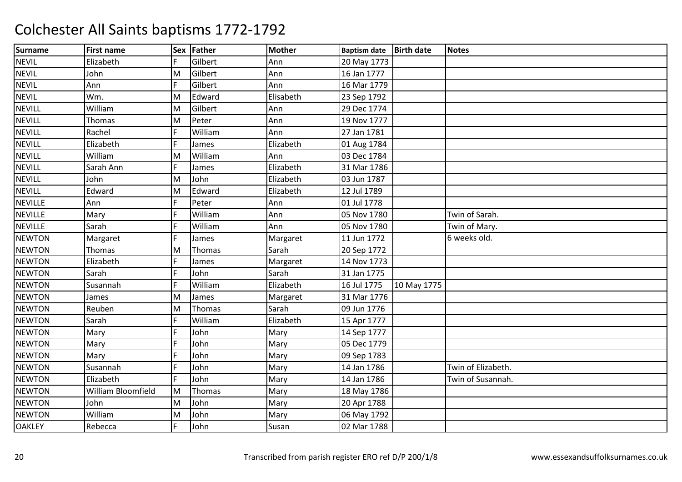| <b>Surname</b> | <b>First name</b>  | <b>Sex</b> | Father  | <b>Mother</b> | <b>Baptism date</b> | <b>Birth date</b> | <b>Notes</b>       |
|----------------|--------------------|------------|---------|---------------|---------------------|-------------------|--------------------|
| <b>NEVIL</b>   | Elizabeth          | F          | Gilbert | Ann           | 20 May 1773         |                   |                    |
| <b>NEVIL</b>   | John               | M          | Gilbert | Ann           | 16 Jan 1777         |                   |                    |
| <b>NEVIL</b>   | Ann                | F          | Gilbert | Ann           | 16 Mar 1779         |                   |                    |
| <b>NEVIL</b>   | Wm.                | M          | Edward  | Elisabeth     | 23 Sep 1792         |                   |                    |
| <b>NEVILL</b>  | William            | M          | Gilbert | Ann           | 29 Dec 1774         |                   |                    |
| <b>NEVILL</b>  | Thomas             | M          | Peter   | Ann           | 19 Nov 1777         |                   |                    |
| <b>NEVILL</b>  | Rachel             | F          | William | Ann           | 27 Jan 1781         |                   |                    |
| <b>NEVILL</b>  | Elizabeth          | F          | James   | Elizabeth     | 01 Aug 1784         |                   |                    |
| <b>NEVILL</b>  | William            | M          | William | Ann           | 03 Dec 1784         |                   |                    |
| <b>NEVILL</b>  | Sarah Ann          | F          | James   | Elizabeth     | 31 Mar 1786         |                   |                    |
| <b>NEVILL</b>  | John               | M          | John    | Elizabeth     | 03 Jun 1787         |                   |                    |
| <b>NEVILL</b>  | Edward             | M          | Edward  | Elizabeth     | 12 Jul 1789         |                   |                    |
| <b>NEVILLE</b> | Ann                | F          | Peter   | Ann           | 01 Jul 1778         |                   |                    |
| <b>NEVILLE</b> | Mary               | E          | William | Ann           | 05 Nov 1780         |                   | Twin of Sarah.     |
| <b>NEVILLE</b> | Sarah              | F          | William | Ann           | 05 Nov 1780         |                   | Twin of Mary.      |
| <b>NEWTON</b>  | Margaret           | F          | James   | Margaret      | 11 Jun 1772         |                   | 6 weeks old.       |
| <b>NEWTON</b>  | Thomas             | M          | Thomas  | Sarah         | 20 Sep 1772         |                   |                    |
| <b>NEWTON</b>  | Elizabeth          | F          | James   | Margaret      | 14 Nov 1773         |                   |                    |
| <b>NEWTON</b>  | Sarah              | E          | John    | Sarah         | 31 Jan 1775         |                   |                    |
| <b>NEWTON</b>  | Susannah           | F          | William | Elizabeth     | 16 Jul 1775         | 10 May 1775       |                    |
| <b>NEWTON</b>  | James              | M          | James   | Margaret      | 31 Mar 1776         |                   |                    |
| <b>NEWTON</b>  | Reuben             | M          | Thomas  | Sarah         | 09 Jun 1776         |                   |                    |
| <b>NEWTON</b>  | Sarah              | E          | William | Elizabeth     | 15 Apr 1777         |                   |                    |
| <b>NEWTON</b>  | Mary               | E          | John    | Mary          | 14 Sep 1777         |                   |                    |
| <b>NEWTON</b>  | Mary               | E          | John    | Mary          | 05 Dec 1779         |                   |                    |
| <b>NEWTON</b>  | Mary               |            | John    | Mary          | 09 Sep 1783         |                   |                    |
| <b>NEWTON</b>  | Susannah           | E          | John    | Mary          | 14 Jan 1786         |                   | Twin of Elizabeth. |
| <b>NEWTON</b>  | Elizabeth          | F          | John    | Mary          | 14 Jan 1786         |                   | Twin of Susannah.  |
| <b>NEWTON</b>  | William Bloomfield | M          | Thomas  | Mary          | 18 May 1786         |                   |                    |
| <b>NEWTON</b>  | John               | M          | John    | Mary          | 20 Apr 1788         |                   |                    |
| <b>NEWTON</b>  | William            | M          | John    | Mary          | 06 May 1792         |                   |                    |
| <b>OAKLEY</b>  | Rebecca            | F          | John    | Susan         | 02 Mar 1788         |                   |                    |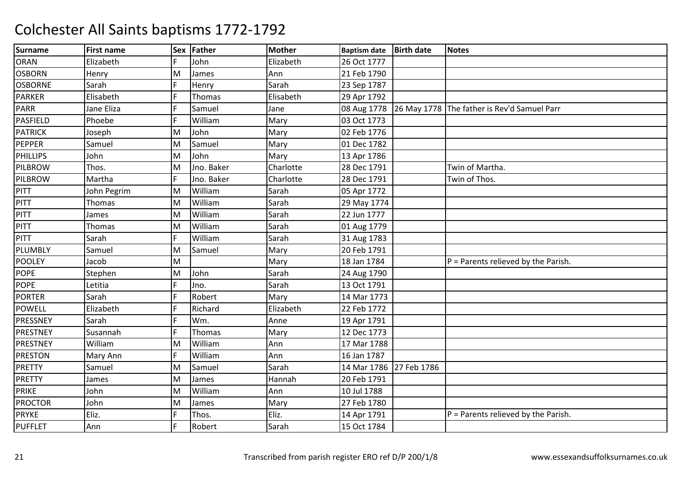| <b>Surname</b>  | <b>First name</b> |   | Sex Father    | <b>Mother</b> | <b>Baptism date</b> | <b>Birth date</b> | <b>Notes</b>                                            |
|-----------------|-------------------|---|---------------|---------------|---------------------|-------------------|---------------------------------------------------------|
| <b>ORAN</b>     | Elizabeth         | F | John          | Elizabeth     | 26 Oct 1777         |                   |                                                         |
| <b>OSBORN</b>   | Henry             | M | James         | Ann           | 21 Feb 1790         |                   |                                                         |
| <b>OSBORNE</b>  | Sarah             | F | Henry         | Sarah         | 23 Sep 1787         |                   |                                                         |
| <b>PARKER</b>   | Elisabeth         | F | Thomas        | Elisabeth     | 29 Apr 1792         |                   |                                                         |
| <b>PARR</b>     | Jane Eliza        | F | Samuel        | Jane          |                     |                   | 08 Aug 1778 26 May 1778 The father is Rev'd Samuel Parr |
| PASFIELD        | Phoebe            | F | William       | Mary          | 03 Oct 1773         |                   |                                                         |
| <b>PATRICK</b>  | Joseph            | M | John          | Mary          | 02 Feb 1776         |                   |                                                         |
| <b>PEPPER</b>   | Samuel            | M | Samuel        | Mary          | 01 Dec 1782         |                   |                                                         |
| <b>PHILLIPS</b> | John              | M | John          | Mary          | 13 Apr 1786         |                   |                                                         |
| <b>PILBROW</b>  | Thos.             | M | Jno. Baker    | Charlotte     | 28 Dec 1791         |                   | Twin of Martha.                                         |
| PILBROW         | Martha            | F | Jno. Baker    | Charlotte     | 28 Dec 1791         |                   | Twin of Thos.                                           |
| <b>PITT</b>     | John Pegrim       | M | William       | Sarah         | 05 Apr 1772         |                   |                                                         |
| PITT            | Thomas            | M | William       | Sarah         | 29 May 1774         |                   |                                                         |
| <b>PITT</b>     | James             | M | William       | Sarah         | 22 Jun 1777         |                   |                                                         |
| <b>PITT</b>     | <b>Thomas</b>     | M | William       | Sarah         | 01 Aug 1779         |                   |                                                         |
| <b>PITT</b>     | Sarah             | F | William       | Sarah         | 31 Aug 1783         |                   |                                                         |
| PLUMBLY         | Samuel            | M | Samuel        | Mary          | 20 Feb 1791         |                   |                                                         |
| <b>POOLEY</b>   | Jacob             | M |               | Mary          | 18 Jan 1784         |                   | $P =$ Parents relieved by the Parish.                   |
| <b>POPE</b>     | Stephen           | M | John          | Sarah         | 24 Aug 1790         |                   |                                                         |
| <b>POPE</b>     | Letitia           | F | Jno.          | Sarah         | 13 Oct 1791         |                   |                                                         |
| <b>PORTER</b>   | Sarah             | F | Robert        | Mary          | 14 Mar 1773         |                   |                                                         |
| <b>POWELL</b>   | Elizabeth         | F | Richard       | Elizabeth     | 22 Feb 1772         |                   |                                                         |
| PRESSNEY        | Sarah             | F | Wm.           | Anne          | 19 Apr 1791         |                   |                                                         |
| <b>PRESTNEY</b> | Susannah          | F | <b>Thomas</b> | Mary          | 12 Dec 1773         |                   |                                                         |
| <b>PRESTNEY</b> | William           | M | William       | Ann           | 17 Mar 1788         |                   |                                                         |
| <b>PRESTON</b>  | Mary Ann          | F | William       | Ann           | 16 Jan 1787         |                   |                                                         |
| <b>PRETTY</b>   | Samuel            | M | Samuel        | Sarah         | 14 Mar 1786         | 27 Feb 1786       |                                                         |
| <b>PRETTY</b>   | James             | M | James         | Hannah        | 20 Feb 1791         |                   |                                                         |
| PRIKE           | John              | M | William       | Ann           | 10 Jul 1788         |                   |                                                         |
| <b>PROCTOR</b>  | John              | M | James         | Mary          | 27 Feb 1780         |                   |                                                         |
| <b>PRYKE</b>    | Eliz.             | F | Thos.         | Eliz.         | 14 Apr 1791         |                   | $P =$ Parents relieved by the Parish.                   |
| <b>PUFFLET</b>  | Ann               | F | Robert        | Sarah         | 15 Oct 1784         |                   |                                                         |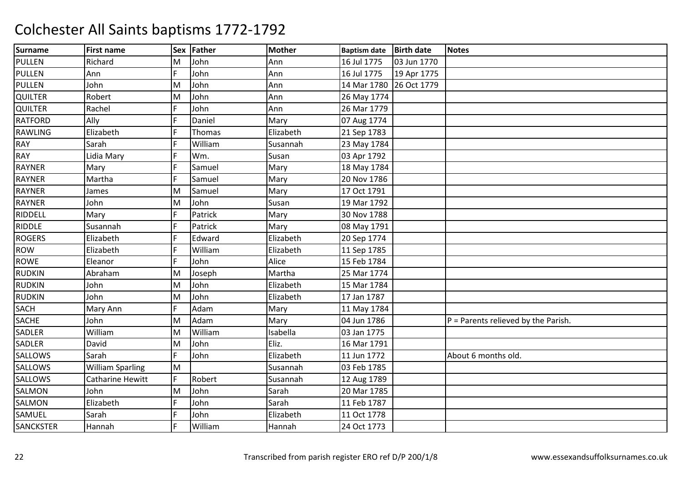| <b>Surname</b>   | <b>First name</b>       |   | Sex Father    | <b>Mother</b> | <b>Baptism date</b>     | <b>Birth date</b> | <b>Notes</b>                          |
|------------------|-------------------------|---|---------------|---------------|-------------------------|-------------------|---------------------------------------|
| <b>PULLEN</b>    | Richard                 | M | John          | Ann           | 16 Jul 1775             | 03 Jun 1770       |                                       |
| <b>PULLEN</b>    | Ann                     | F | John          | Ann           | 16 Jul 1775             | 19 Apr 1775       |                                       |
| PULLEN           | John                    | M | John          | Ann           | 14 Mar 1780 26 Oct 1779 |                   |                                       |
| QUILTER          | Robert                  | M | John          | Ann           | 26 May 1774             |                   |                                       |
| <b>QUILTER</b>   | Rachel                  | F | John          | Ann           | 26 Mar 1779             |                   |                                       |
| <b>RATFORD</b>   | Ally                    | E | Daniel        | Mary          | 07 Aug 1774             |                   |                                       |
| RAWLING          | Elizabeth               | F | <b>Thomas</b> | Elizabeth     | 21 Sep 1783             |                   |                                       |
| <b>RAY</b>       | Sarah                   | E | William       | Susannah      | 23 May 1784             |                   |                                       |
| <b>RAY</b>       | Lidia Mary              | F | Wm.           | Susan         | 03 Apr 1792             |                   |                                       |
| <b>RAYNER</b>    | Mary                    | E | Samuel        | Mary          | 18 May 1784             |                   |                                       |
| <b>RAYNER</b>    | Martha                  |   | Samuel        | Mary          | 20 Nov 1786             |                   |                                       |
| <b>RAYNER</b>    | James                   | M | Samuel        | Mary          | 17 Oct 1791             |                   |                                       |
| <b>RAYNER</b>    | John                    | M | John          | Susan         | 19 Mar 1792             |                   |                                       |
| <b>RIDDELL</b>   | Mary                    | Ë | Patrick       | Mary          | 30 Nov 1788             |                   |                                       |
| <b>RIDDLE</b>    | Susannah                | F | Patrick       | Mary          | 08 May 1791             |                   |                                       |
| <b>ROGERS</b>    | Elizabeth               | F | Edward        | Elizabeth     | 20 Sep 1774             |                   |                                       |
| <b>ROW</b>       | Elizabeth               | F | William       | Elizabeth     | 11 Sep 1785             |                   |                                       |
| <b>ROWE</b>      | Eleanor                 | F | John          | Alice         | 15 Feb 1784             |                   |                                       |
| <b>RUDKIN</b>    | Abraham                 | M | Joseph        | Martha        | 25 Mar 1774             |                   |                                       |
| <b>RUDKIN</b>    | John                    | M | John          | Elizabeth     | 15 Mar 1784             |                   |                                       |
| <b>RUDKIN</b>    | John                    | M | John          | Elizabeth     | 17 Jan 1787             |                   |                                       |
| <b>SACH</b>      | Mary Ann                | F | Adam          | Mary          | 11 May 1784             |                   |                                       |
| <b>SACHE</b>     | John                    | M | Adam          | Mary          | 04 Jun 1786             |                   | $P =$ Parents relieved by the Parish. |
| SADLER           | William                 | M | William       | Isabella      | 03 Jan 1775             |                   |                                       |
| <b>SADLER</b>    | David                   | M | John          | Eliz.         | 16 Mar 1791             |                   |                                       |
| <b>SALLOWS</b>   | Sarah                   | F | John          | Elizabeth     | 11 Jun 1772             |                   | About 6 months old.                   |
| <b>SALLOWS</b>   | <b>William Sparling</b> | M |               | Susannah      | 03 Feb 1785             |                   |                                       |
| <b>SALLOWS</b>   | <b>Catharine Hewitt</b> | F | Robert        | Susannah      | 12 Aug 1789             |                   |                                       |
| <b>SALMON</b>    | John                    | M | John          | Sarah         | 20 Mar 1785             |                   |                                       |
| SALMON           | Elizabeth               | F | John          | Sarah         | 11 Feb 1787             |                   |                                       |
| SAMUEL           | Sarah                   | E | John          | Elizabeth     | 11 Oct 1778             |                   |                                       |
| <b>SANCKSTER</b> | Hannah                  | F | William       | Hannah        | 24 Oct 1773             |                   |                                       |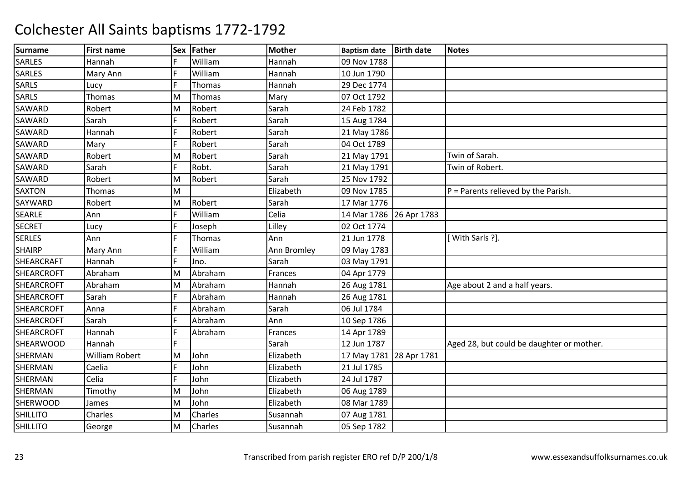| <b>Surname</b>    | <b>First name</b> | <b>Sex</b> | Father        | <b>Mother</b> | <b>Baptism date</b>     | <b>Birth date</b> | <b>Notes</b>                              |
|-------------------|-------------------|------------|---------------|---------------|-------------------------|-------------------|-------------------------------------------|
| <b>SARLES</b>     | Hannah            | F          | William       | Hannah        | 09 Nov 1788             |                   |                                           |
| <b>SARLES</b>     | Mary Ann          | F          | William       | Hannah        | 10 Jun 1790             |                   |                                           |
| <b>SARLS</b>      | Lucy              | E          | <b>Thomas</b> | Hannah        | 29 Dec 1774             |                   |                                           |
| <b>SARLS</b>      | Thomas            | M          | Thomas        | Mary          | 07 Oct 1792             |                   |                                           |
| <b>SAWARD</b>     | Robert            | M          | Robert        | Sarah         | 24 Feb 1782             |                   |                                           |
| <b>SAWARD</b>     | Sarah             | F          | Robert        | Sarah         | 15 Aug 1784             |                   |                                           |
| <b>SAWARD</b>     | Hannah            | F          | Robert        | Sarah         | 21 May 1786             |                   |                                           |
| <b>SAWARD</b>     | Mary              | F          | Robert        | Sarah         | 04 Oct 1789             |                   |                                           |
| <b>SAWARD</b>     | Robert            | M          | Robert        | Sarah         | 21 May 1791             |                   | Twin of Sarah.                            |
| <b>SAWARD</b>     | Sarah             | F.         | Robt.         | Sarah         | 21 May 1791             |                   | Twin of Robert.                           |
| SAWARD            | Robert            | M          | Robert        | Sarah         | 25 Nov 1792             |                   |                                           |
| <b>SAXTON</b>     | Thomas            | M          |               | Elizabeth     | 09 Nov 1785             |                   | $P =$ Parents relieved by the Parish.     |
| SAYWARD           | Robert            | M          | Robert        | Sarah         | 17 Mar 1776             |                   |                                           |
| <b>SEARLE</b>     | Ann               | F          | William       | Celia         | 14 Mar 1786 26 Apr 1783 |                   |                                           |
| <b>SECRET</b>     | Lucy              | F          | Joseph        | Lilley        | 02 Oct 1774             |                   |                                           |
| <b>SERLES</b>     | Ann               | F          | Thomas        | Ann           | 21 Jun 1778             |                   | With Sarls ?].                            |
| <b>SHAIRP</b>     | Mary Ann          | F          | William       | Ann Bromley   | 09 May 1783             |                   |                                           |
| <b>SHEARCRAFT</b> | Hannah            | F          | Jno.          | Sarah         | 03 May 1791             |                   |                                           |
| <b>SHEARCROFT</b> | Abraham           | M          | Abraham       | Frances       | 04 Apr 1779             |                   |                                           |
| <b>SHEARCROFT</b> | Abraham           | M          | Abraham       | Hannah        | 26 Aug 1781             |                   | Age about 2 and a half years.             |
| <b>SHEARCROFT</b> | Sarah             | F          | Abraham       | Hannah        | 26 Aug 1781             |                   |                                           |
| <b>SHEARCROFT</b> | Anna              | F          | Abraham       | Sarah         | 06 Jul 1784             |                   |                                           |
| <b>SHEARCROFT</b> | Sarah             | F          | Abraham       | Ann           | 10 Sep 1786             |                   |                                           |
| <b>SHEARCROFT</b> | Hannah            | F          | Abraham       | Frances       | 14 Apr 1789             |                   |                                           |
| <b>SHEARWOOD</b>  | Hannah            | F.         |               | Sarah         | 12 Jun 1787             |                   | Aged 28, but could be daughter or mother. |
| SHERMAN           | William Robert    | M          | John          | Elizabeth     | 17 May 1781 28 Apr 1781 |                   |                                           |
| <b>SHERMAN</b>    | Caelia            | lF.        | John          | Elizabeth     | 21 Jul 1785             |                   |                                           |
| SHERMAN           | Celia             | F          | John          | Elizabeth     | 24 Jul 1787             |                   |                                           |
| SHERMAN           | Timothy           | M          | John          | Elizabeth     | 06 Aug 1789             |                   |                                           |
| <b>SHERWOOD</b>   | James             | M          | John          | Elizabeth     | 08 Mar 1789             |                   |                                           |
| <b>SHILLITO</b>   | Charles           | M          | Charles       | Susannah      | 07 Aug 1781             |                   |                                           |
| <b>SHILLITO</b>   | George            | M          | Charles       | Susannah      | 05 Sep 1782             |                   |                                           |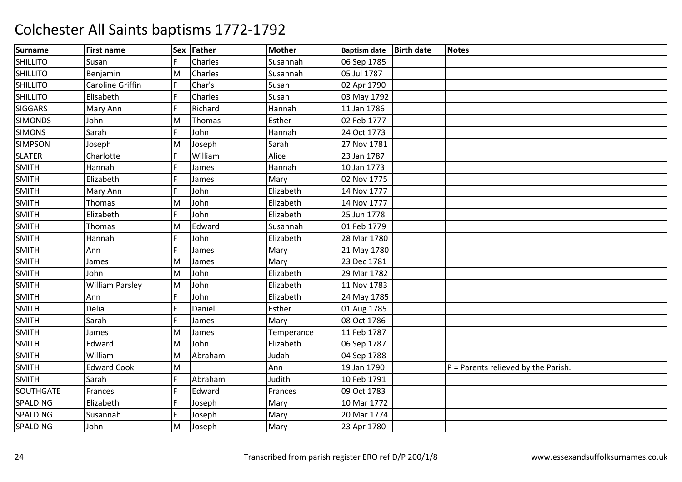| <b>Surname</b>  | <b>First name</b>      | <b>Sex</b> | Father  | <b>Mother</b> | <b>Baptism date</b> | <b>Birth date</b> | <b>Notes</b>                          |
|-----------------|------------------------|------------|---------|---------------|---------------------|-------------------|---------------------------------------|
| <b>SHILLITO</b> | Susan                  | F          | Charles | Susannah      | 06 Sep 1785         |                   |                                       |
| <b>SHILLITO</b> | Benjamin               | M          | Charles | Susannah      | 05 Jul 1787         |                   |                                       |
| <b>SHILLITO</b> | Caroline Griffin       | F          | Char's  | Susan         | 02 Apr 1790         |                   |                                       |
| <b>SHILLITO</b> | Elisabeth              | F          | Charles | Susan         | 03 May 1792         |                   |                                       |
| <b>SIGGARS</b>  | Mary Ann               | F          | Richard | Hannah        | 11 Jan 1786         |                   |                                       |
| <b>SIMONDS</b>  | John                   | M          | Thomas  | Esther        | 02 Feb 1777         |                   |                                       |
| <b>SIMONS</b>   | Sarah                  | F          | John    | Hannah        | 24 Oct 1773         |                   |                                       |
| <b>SIMPSON</b>  | Joseph                 | M          | Joseph  | Sarah         | 27 Nov 1781         |                   |                                       |
| <b>SLATER</b>   | Charlotte              | F          | William | Alice         | 23 Jan 1787         |                   |                                       |
| <b>SMITH</b>    | Hannah                 | F          | James   | Hannah        | 10 Jan 1773         |                   |                                       |
| <b>SMITH</b>    | Elizabeth              | F          | James   | Mary          | 02 Nov 1775         |                   |                                       |
| <b>SMITH</b>    | Mary Ann               | F          | John    | Elizabeth     | 14 Nov 1777         |                   |                                       |
| <b>SMITH</b>    | <b>Thomas</b>          | M          | John    | Elizabeth     | 14 Nov 1777         |                   |                                       |
| SMITH           | Elizabeth              | F          | John    | Elizabeth     | 25 Jun 1778         |                   |                                       |
| <b>SMITH</b>    | <b>Thomas</b>          | M          | Edward  | Susannah      | 01 Feb 1779         |                   |                                       |
| <b>SMITH</b>    | Hannah                 | F          | John    | Elizabeth     | 28 Mar 1780         |                   |                                       |
| <b>SMITH</b>    | Ann                    | E          | James   | Mary          | 21 May 1780         |                   |                                       |
| <b>SMITH</b>    | James                  | M          | James   | Mary          | 23 Dec 1781         |                   |                                       |
| <b>SMITH</b>    | John                   | M          | John    | Elizabeth     | 29 Mar 1782         |                   |                                       |
| <b>SMITH</b>    | <b>William Parsley</b> | M          | John    | Elizabeth     | 11 Nov 1783         |                   |                                       |
| <b>SMITH</b>    | Ann                    | F          | John    | Elizabeth     | 24 May 1785         |                   |                                       |
| <b>SMITH</b>    | Delia                  | F          | Daniel  | Esther        | 01 Aug 1785         |                   |                                       |
| <b>SMITH</b>    | Sarah                  | E          | James   | Mary          | 08 Oct 1786         |                   |                                       |
| <b>SMITH</b>    | James                  | M          | James   | Temperance    | 11 Feb 1787         |                   |                                       |
| <b>SMITH</b>    | Edward                 | M          | John    | Elizabeth     | 06 Sep 1787         |                   |                                       |
| <b>SMITH</b>    | William                | M          | Abraham | Judah         | 04 Sep 1788         |                   |                                       |
| <b>SMITH</b>    | <b>Edward Cook</b>     | M          |         | Ann           | 19 Jan 1790         |                   | $P =$ Parents relieved by the Parish. |
| <b>SMITH</b>    | Sarah                  | F          | Abraham | Judith        | 10 Feb 1791         |                   |                                       |
| SOUTHGATE       | Frances                | F          | Edward  | Frances       | 09 Oct 1783         |                   |                                       |
| SPALDING        | Elizabeth              | F          | Joseph  | Mary          | 10 Mar 1772         |                   |                                       |
| SPALDING        | Susannah               | F          | Joseph  | Mary          | 20 Mar 1774         |                   |                                       |
| SPALDING        | John                   | M          | Joseph  | Mary          | 23 Apr 1780         |                   |                                       |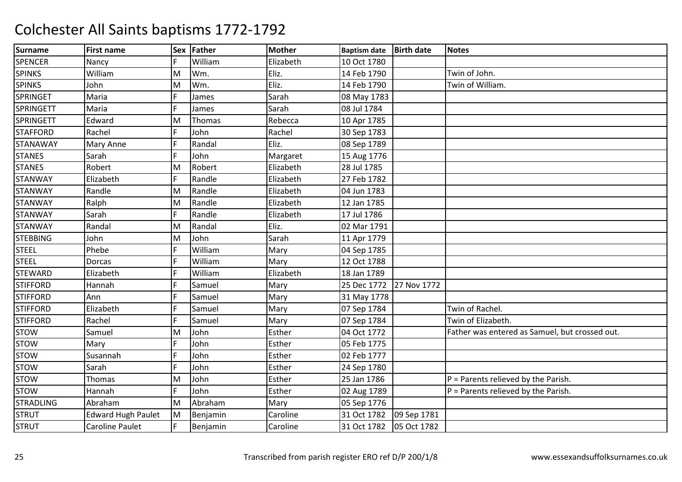| <b>Surname</b>   | <b>First name</b>         | <b>Sex</b> | Father   | <b>Mother</b> | <b>Baptism date</b> | <b>Birth date</b> | <b>Notes</b>                                   |
|------------------|---------------------------|------------|----------|---------------|---------------------|-------------------|------------------------------------------------|
| <b>SPENCER</b>   | Nancy                     | F          | William  | Elizabeth     | 10 Oct 1780         |                   |                                                |
| <b>SPINKS</b>    | William                   | M          | Wm.      | Eliz.         | 14 Feb 1790         |                   | Twin of John.                                  |
| <b>SPINKS</b>    | John                      | M          | Wm.      | Eliz.         | 14 Feb 1790         |                   | Twin of William.                               |
| <b>SPRINGET</b>  | Maria                     | F          | James    | Sarah         | 08 May 1783         |                   |                                                |
| <b>SPRINGETT</b> | Maria                     | F          | James    | Sarah         | 08 Jul 1784         |                   |                                                |
| <b>SPRINGETT</b> | Edward                    | M          | Thomas   | Rebecca       | 10 Apr 1785         |                   |                                                |
| <b>STAFFORD</b>  | Rachel                    | F          | John     | Rachel        | 30 Sep 1783         |                   |                                                |
| <b>STANAWAY</b>  | Mary Anne                 | F          | Randal   | Eliz.         | 08 Sep 1789         |                   |                                                |
| <b>STANES</b>    | Sarah                     | F          | John     | Margaret      | 15 Aug 1776         |                   |                                                |
| <b>STANES</b>    | Robert                    | M          | Robert   | Elizabeth     | 28 Jul 1785         |                   |                                                |
| <b>STANWAY</b>   | Elizabeth                 | F          | Randle   | Elizabeth     | 27 Feb 1782         |                   |                                                |
| <b>STANWAY</b>   | Randle                    | M          | Randle   | Elizabeth     | 04 Jun 1783         |                   |                                                |
| <b>STANWAY</b>   | Ralph                     | M          | Randle   | Elizabeth     | 12 Jan 1785         |                   |                                                |
| <b>STANWAY</b>   | Sarah                     | F          | Randle   | Elizabeth     | 17 Jul 1786         |                   |                                                |
| <b>STANWAY</b>   | Randal                    | M          | Randal   | Eliz.         | 02 Mar 1791         |                   |                                                |
| <b>STEBBING</b>  | John                      | M          | John     | Sarah         | 11 Apr 1779         |                   |                                                |
| <b>STEEL</b>     | Phebe                     | F          | William  | Mary          | 04 Sep 1785         |                   |                                                |
| <b>STEEL</b>     | Dorcas                    | F          | William  | Mary          | 12 Oct 1788         |                   |                                                |
| <b>STEWARD</b>   | Elizabeth                 |            | William  | Elizabeth     | 18 Jan 1789         |                   |                                                |
| <b>STIFFORD</b>  | Hannah                    | F          | Samuel   | Mary          | 25 Dec 1772         | 27 Nov 1772       |                                                |
| <b>STIFFORD</b>  | Ann                       | E          | Samuel   | Mary          | 31 May 1778         |                   |                                                |
| <b>STIFFORD</b>  | Elizabeth                 | F          | Samuel   | Mary          | 07 Sep 1784         |                   | Twin of Rachel.                                |
| <b>STIFFORD</b>  | Rachel                    | E          | Samuel   | Mary          | 07 Sep 1784         |                   | Twin of Elizabeth.                             |
| <b>STOW</b>      | Samuel                    | M          | John     | Esther        | 04 Oct 1772         |                   | Father was entered as Samuel, but crossed out. |
| <b>STOW</b>      | Mary                      | E          | John     | Esther        | 05 Feb 1775         |                   |                                                |
| <b>STOW</b>      | Susannah                  | F          | John     | Esther        | 02 Feb 1777         |                   |                                                |
| <b>STOW</b>      | Sarah                     | F          | John     | Esther        | 24 Sep 1780         |                   |                                                |
| <b>STOW</b>      | Thomas                    | M          | John     | Esther        | 25 Jan 1786         |                   | $P =$ Parents relieved by the Parish.          |
| <b>STOW</b>      | Hannah                    | F          | John     | Esther        | 02 Aug 1789         |                   | $P =$ Parents relieved by the Parish.          |
| <b>STRADLING</b> | Abraham                   | M          | Abraham  | Mary          | 05 Sep 1776         |                   |                                                |
| <b>STRUT</b>     | <b>Edward Hugh Paulet</b> | M          | Benjamin | Caroline      | 31 Oct 1782         | 09 Sep 1781       |                                                |
| <b>STRUT</b>     | <b>Caroline Paulet</b>    | F.         | Benjamin | Caroline      | 31 Oct 1782         | 05 Oct 1782       |                                                |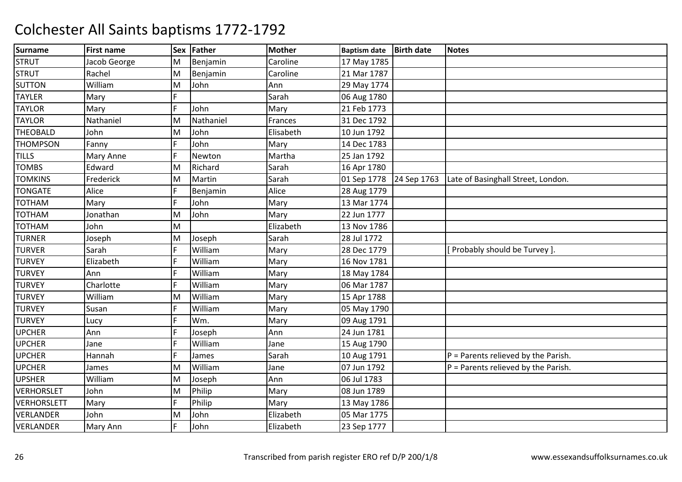| <b>Surname</b>     | <b>First name</b> | <b>Sex</b> | Father    | <b>Mother</b> | <b>Baptism date</b> | <b>Birth date</b> | <b>Notes</b>                          |
|--------------------|-------------------|------------|-----------|---------------|---------------------|-------------------|---------------------------------------|
| <b>STRUT</b>       | Jacob George      | M          | Benjamin  | Caroline      | 17 May 1785         |                   |                                       |
| <b>STRUT</b>       | Rachel            | M          | Benjamin  | Caroline      | 21 Mar 1787         |                   |                                       |
| <b>SUTTON</b>      | William           | M          | John      | Ann           | 29 May 1774         |                   |                                       |
| <b>TAYLER</b>      | Mary              | F.         |           | Sarah         | 06 Aug 1780         |                   |                                       |
| <b>TAYLOR</b>      | Mary              | F          | John      | Mary          | 21 Feb 1773         |                   |                                       |
| <b>TAYLOR</b>      | Nathaniel         | M          | Nathaniel | Frances       | 31 Dec 1792         |                   |                                       |
| <b>THEOBALD</b>    | John              | M          | John      | Elisabeth     | 10 Jun 1792         |                   |                                       |
| <b>THOMPSON</b>    | Fanny             | F          | John      | Mary          | 14 Dec 1783         |                   |                                       |
| <b>TILLS</b>       | Mary Anne         | F          | Newton    | Martha        | 25 Jan 1792         |                   |                                       |
| <b>TOMBS</b>       | Edward            | M          | Richard   | Sarah         | 16 Apr 1780         |                   |                                       |
| <b>TOMKINS</b>     | Frederick         | M          | Martin    | Sarah         | 01 Sep 1778         | 24 Sep 1763       | Late of Basinghall Street, London.    |
| <b>TONGATE</b>     | Alice             | F          | Benjamin  | Alice         | 28 Aug 1779         |                   |                                       |
| <b>TOTHAM</b>      | Mary              | F          | John      | Mary          | 13 Mar 1774         |                   |                                       |
| <b>TOTHAM</b>      | Jonathan          | M          | John      | Mary          | 22 Jun 1777         |                   |                                       |
| <b>TOTHAM</b>      | John              | M          |           | Elizabeth     | 13 Nov 1786         |                   |                                       |
| <b>TURNER</b>      | Joseph            | M          | Joseph    | Sarah         | 28 Jul 1772         |                   |                                       |
| <b>TURVER</b>      | Sarah             | F          | William   | Mary          | 28 Dec 1779         |                   | Probably should be Turvey].           |
| <b>TURVEY</b>      | Elizabeth         | lF.        | William   | Mary          | 16 Nov 1781         |                   |                                       |
| <b>TURVEY</b>      | Ann               | F          | William   | Mary          | 18 May 1784         |                   |                                       |
| <b>TURVEY</b>      | Charlotte         | E          | William   | Mary          | 06 Mar 1787         |                   |                                       |
| <b>TURVEY</b>      | William           | M          | William   | Mary          | 15 Apr 1788         |                   |                                       |
| <b>TURVEY</b>      | Susan             | F          | William   | Mary          | 05 May 1790         |                   |                                       |
| <b>TURVEY</b>      | Lucy              | F          | Wm.       | Mary          | 09 Aug 1791         |                   |                                       |
| <b>UPCHER</b>      | Ann               | E          | Joseph    | Ann           | 24 Jun 1781         |                   |                                       |
| <b>UPCHER</b>      | Jane              | F          | William   | Jane          | 15 Aug 1790         |                   |                                       |
| <b>UPCHER</b>      | Hannah            | lF.        | James     | Sarah         | 10 Aug 1791         |                   | $P =$ Parents relieved by the Parish. |
| <b>UPCHER</b>      | James             | M          | William   | Jane          | 07 Jun 1792         |                   | $P =$ Parents relieved by the Parish. |
| <b>UPSHER</b>      | William           | M          | Joseph    | Ann           | 06 Jul 1783         |                   |                                       |
| <b>VERHORSLET</b>  | John              | M          | Philip    | Mary          | 08 Jun 1789         |                   |                                       |
| <b>VERHORSLETT</b> | Mary              | F          | Philip    | Mary          | 13 May 1786         |                   |                                       |
| VERLANDER          | John              | M          | John      | Elizabeth     | 05 Mar 1775         |                   |                                       |
| <b>VERLANDER</b>   | Mary Ann          | F          | John      | Elizabeth     | 23 Sep 1777         |                   |                                       |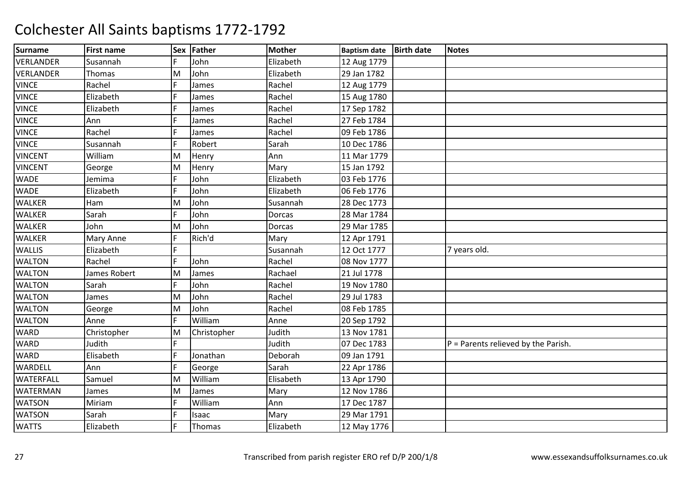| <b>Surname</b>   | <b>First name</b> |     | Sex Father  | <b>Mother</b> | <b>Baptism date</b> | <b>Birth date</b> | <b>Notes</b>                          |
|------------------|-------------------|-----|-------------|---------------|---------------------|-------------------|---------------------------------------|
| <b>VERLANDER</b> | Susannah          | F.  | John        | Elizabeth     | 12 Aug 1779         |                   |                                       |
| <b>VERLANDER</b> | Thomas            | M   | John        | Elizabeth     | 29 Jan 1782         |                   |                                       |
| <b>VINCE</b>     | Rachel            | F   | James       | Rachel        | 12 Aug 1779         |                   |                                       |
| <b>VINCE</b>     | Elizabeth         | F   | James       | Rachel        | 15 Aug 1780         |                   |                                       |
| <b>VINCE</b>     | Elizabeth         | F   | James       | Rachel        | 17 Sep 1782         |                   |                                       |
| <b>VINCE</b>     | Ann               | F   | James       | Rachel        | 27 Feb 1784         |                   |                                       |
| <b>VINCE</b>     | Rachel            | F   | James       | Rachel        | 09 Feb 1786         |                   |                                       |
| <b>VINCE</b>     | Susannah          | E   | Robert      | Sarah         | 10 Dec 1786         |                   |                                       |
| <b>VINCENT</b>   | William           | M   | Henry       | Ann           | 11 Mar 1779         |                   |                                       |
| <b>VINCENT</b>   | George            | M   | Henry       | Mary          | 15 Jan 1792         |                   |                                       |
| <b>WADE</b>      | Jemima            | F   | John        | Elizabeth     | 03 Feb 1776         |                   |                                       |
| <b>WADE</b>      | Elizabeth         | F   | John        | Elizabeth     | 06 Feb 1776         |                   |                                       |
| <b>WALKER</b>    | Ham               | M   | John        | Susannah      | 28 Dec 1773         |                   |                                       |
| <b>WALKER</b>    | Sarah             | lF. | John        | <b>Dorcas</b> | 28 Mar 1784         |                   |                                       |
| <b>WALKER</b>    | John              | M   | John        | Dorcas        | 29 Mar 1785         |                   |                                       |
| <b>WALKER</b>    | Mary Anne         | E   | Rich'd      | Mary          | 12 Apr 1791         |                   |                                       |
| <b>WALLIS</b>    | Elizabeth         | F   |             | Susannah      | 12 Oct 1777         |                   | 7 years old.                          |
| <b>WALTON</b>    | Rachel            | lF. | John        | Rachel        | 08 Nov 1777         |                   |                                       |
| <b>WALTON</b>    | James Robert      | M   | James       | Rachael       | 21 Jul 1778         |                   |                                       |
| <b>WALTON</b>    | Sarah             | F   | John        | Rachel        | 19 Nov 1780         |                   |                                       |
| <b>WALTON</b>    | James             | M   | John        | Rachel        | 29 Jul 1783         |                   |                                       |
| <b>WALTON</b>    | George            | M   | John        | Rachel        | 08 Feb 1785         |                   |                                       |
| <b>WALTON</b>    | Anne              | F   | William     | Anne          | 20 Sep 1792         |                   |                                       |
| <b>WARD</b>      | Christopher       | M   | Christopher | Judith        | 13 Nov 1781         |                   |                                       |
| <b>WARD</b>      | Judith            | F.  |             | Judith        | 07 Dec 1783         |                   | $P =$ Parents relieved by the Parish. |
| <b>WARD</b>      | Elisabeth         | F   | Jonathan    | Deborah       | 09 Jan 1791         |                   |                                       |
| WARDELL          | Ann               | F   | George      | Sarah         | 22 Apr 1786         |                   |                                       |
| <b>WATERFALL</b> | Samuel            | M   | William     | Elisabeth     | 13 Apr 1790         |                   |                                       |
| <b>WATERMAN</b>  | James             | M   | James       | Mary          | 12 Nov 1786         |                   |                                       |
| <b>WATSON</b>    | Miriam            | F   | William     | Ann           | 17 Dec 1787         |                   |                                       |
| <b>WATSON</b>    | Sarah             | F   | Isaac       | Mary          | 29 Mar 1791         |                   |                                       |
| <b>WATTS</b>     | Elizabeth         | F   | Thomas      | Elizabeth     | 12 May 1776         |                   |                                       |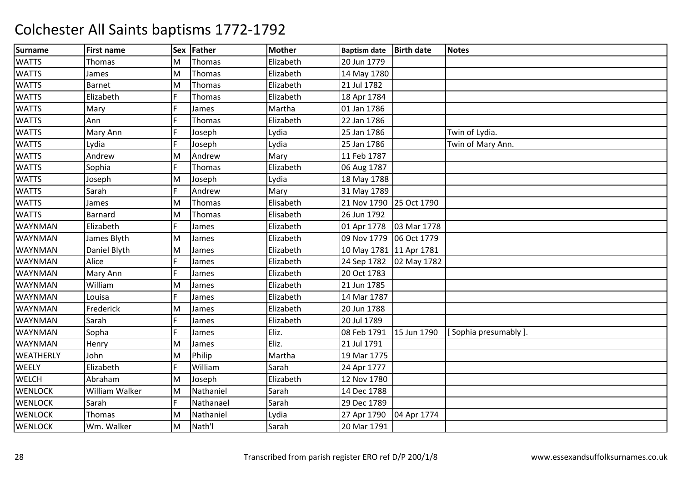| <b>Surname</b>   | <b>First name</b> | Sex | Father        | <b>Mother</b> | <b>Baptism date</b>     | <b>Birth date</b> | <b>Notes</b>         |
|------------------|-------------------|-----|---------------|---------------|-------------------------|-------------------|----------------------|
| <b>WATTS</b>     | <b>Thomas</b>     | M   | Thomas        | Elizabeth     | 20 Jun 1779             |                   |                      |
| <b>WATTS</b>     | James             | M   | Thomas        | Elizabeth     | 14 May 1780             |                   |                      |
| <b>WATTS</b>     | <b>Barnet</b>     | M   | Thomas        | Elizabeth     | 21 Jul 1782             |                   |                      |
| <b>WATTS</b>     | Elizabeth         | F   | Thomas        | Elizabeth     | 18 Apr 1784             |                   |                      |
| <b>WATTS</b>     | Mary              | F   | James         | Martha        | 01 Jan 1786             |                   |                      |
| <b>WATTS</b>     | Ann               | F   | Thomas        | Elizabeth     | 22 Jan 1786             |                   |                      |
| <b>WATTS</b>     | Mary Ann          | F   | Joseph        | Lydia         | 25 Jan 1786             |                   | Twin of Lydia.       |
| <b>WATTS</b>     | Lydia             | E   | Joseph        | Lydia         | 25 Jan 1786             |                   | Twin of Mary Ann.    |
| <b>WATTS</b>     | Andrew            | M   | Andrew        | Mary          | 11 Feb 1787             |                   |                      |
| <b>WATTS</b>     | Sophia            | F   | <b>Thomas</b> | Elizabeth     | 06 Aug 1787             |                   |                      |
| <b>WATTS</b>     | Joseph            | M   | Joseph        | Lydia         | 18 May 1788             |                   |                      |
| <b>WATTS</b>     | Sarah             | F   | Andrew        | Mary          | 31 May 1789             |                   |                      |
| <b>WATTS</b>     | James             | M   | Thomas        | Elisabeth     | 21 Nov 1790 25 Oct 1790 |                   |                      |
| <b>WATTS</b>     | Barnard           | M   | Thomas        | Elisabeth     | 26 Jun 1792             |                   |                      |
| WAYNMAN          | Elizabeth         | F   | James         | Elizabeth     | 01 Apr 1778             | 03 Mar 1778       |                      |
| WAYNMAN          | James Blyth       | M   | James         | Elizabeth     | 09 Nov 1779 06 Oct 1779 |                   |                      |
| <b>WAYNMAN</b>   | Daniel Blyth      | M   | James         | Elizabeth     | 10 May 1781 11 Apr 1781 |                   |                      |
| WAYNMAN          | Alice             | F   | James         | Elizabeth     | 24 Sep 1782 02 May 1782 |                   |                      |
| WAYNMAN          | Mary Ann          | E   | James         | Elizabeth     | 20 Oct 1783             |                   |                      |
| WAYNMAN          | William           | M   | James         | Elizabeth     | 21 Jun 1785             |                   |                      |
| WAYNMAN          | Louisa            | F   | James         | Elizabeth     | 14 Mar 1787             |                   |                      |
| WAYNMAN          | Frederick         | M   | James         | Elizabeth     | 20 Jun 1788             |                   |                      |
| WAYNMAN          | Sarah             | F   | James         | Elizabeth     | 20 Jul 1789             |                   |                      |
| WAYNMAN          | Sopha             | F   | James         | Eliz.         | 08 Feb 1791             | 15 Jun 1790       | [Sophia presumably]. |
| <b>WAYNMAN</b>   | Henry             | M   | James         | Eliz.         | 21 Jul 1791             |                   |                      |
| <b>WEATHERLY</b> | John              | M   | Philip        | Martha        | 19 Mar 1775             |                   |                      |
| <b>WEELY</b>     | Elizabeth         | F   | William       | Sarah         | 24 Apr 1777             |                   |                      |
| <b>WELCH</b>     | Abraham           | M   | Joseph        | Elizabeth     | 12 Nov 1780             |                   |                      |
| <b>WENLOCK</b>   | William Walker    | M   | Nathaniel     | Sarah         | 14 Dec 1788             |                   |                      |
| <b>WENLOCK</b>   | Sarah             | F   | Nathanael     | Sarah         | 29 Dec 1789             |                   |                      |
| <b>WENLOCK</b>   | Thomas            | M   | Nathaniel     | Lydia         | 27 Apr 1790             | 04 Apr 1774       |                      |
| <b>WENLOCK</b>   | Wm. Walker        | M   | Nath'l        | Sarah         | 20 Mar 1791             |                   |                      |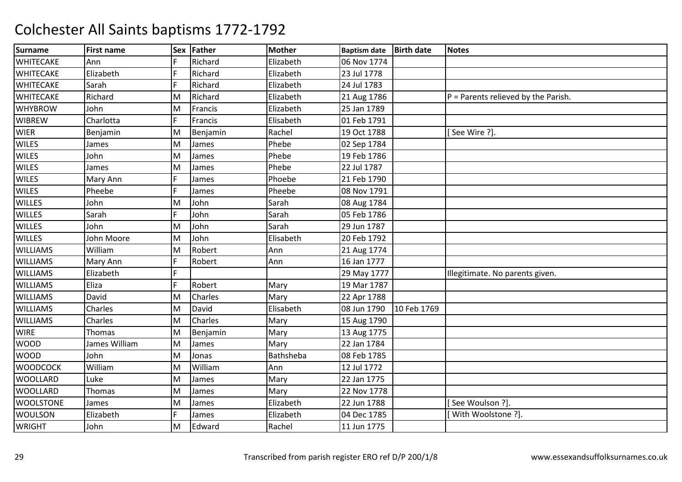| <b>Surname</b>   | <b>First name</b> | <b>Sex</b>     | Father   | <b>Mother</b> | <b>Baptism date</b> | <b>Birth date</b> | <b>Notes</b>                          |
|------------------|-------------------|----------------|----------|---------------|---------------------|-------------------|---------------------------------------|
| <b>WHITECAKE</b> | Ann               | F              | Richard  | Elizabeth     | 06 Nov 1774         |                   |                                       |
| <b>WHITECAKE</b> | Elizabeth         | F              | Richard  | Elizabeth     | 23 Jul 1778         |                   |                                       |
| <b>WHITECAKE</b> | Sarah             | F              | Richard  | Elizabeth     | 24 Jul 1783         |                   |                                       |
| <b>WHITECAKE</b> | Richard           | M              | Richard  | Elizabeth     | 21 Aug 1786         |                   | $P =$ Parents relieved by the Parish. |
| <b>WHYBROW</b>   | John              | M              | Francis  | Elizabeth     | 25 Jan 1789         |                   |                                       |
| <b>WIBREW</b>    | Charlotta         | $\overline{F}$ | Francis  | Elisabeth     | 01 Feb 1791         |                   |                                       |
| <b>WIER</b>      | Benjamin          | M              | Benjamin | Rachel        | 19 Oct 1788         |                   | See Wire ?].                          |
| <b>WILES</b>     | James             | M              | James    | Phebe         | 02 Sep 1784         |                   |                                       |
| <b>WILES</b>     | John              | M              | James    | Phebe         | 19 Feb 1786         |                   |                                       |
| <b>WILES</b>     | James             | M              | James    | Phebe         | 22 Jul 1787         |                   |                                       |
| <b>WILES</b>     | Mary Ann          | F              | James    | Phoebe        | 21 Feb 1790         |                   |                                       |
| <b>WILES</b>     | Pheebe            | F              | James    | Pheebe        | 08 Nov 1791         |                   |                                       |
| <b>WILLES</b>    | John              | M              | John     | Sarah         | 08 Aug 1784         |                   |                                       |
| <b>WILLES</b>    | Sarah             | F              | John     | Sarah         | 05 Feb 1786         |                   |                                       |
| <b>WILLES</b>    | John              | M              | John     | Sarah         | 29 Jun 1787         |                   |                                       |
| <b>WILLES</b>    | John Moore        | M              | John     | Elisabeth     | 20 Feb 1792         |                   |                                       |
| <b>WILLIAMS</b>  | William           | M              | Robert   | Ann           | 21 Aug 1774         |                   |                                       |
| <b>WILLIAMS</b>  | Mary Ann          | F              | Robert   | Ann           | 16 Jan 1777         |                   |                                       |
| <b>WILLIAMS</b>  | Elizabeth         | F.             |          |               | 29 May 1777         |                   | Illegitimate. No parents given.       |
| <b>WILLIAMS</b>  | Eliza             | F              | Robert   | Mary          | 19 Mar 1787         |                   |                                       |
| <b>WILLIAMS</b>  | David             | M              | Charles  | Mary          | 22 Apr 1788         |                   |                                       |
| <b>WILLIAMS</b>  | Charles           | M              | David    | Elisabeth     | 08 Jun 1790         | 10 Feb 1769       |                                       |
| <b>WILLIAMS</b>  | Charles           | M              | Charles  | Mary          | 15 Aug 1790         |                   |                                       |
| <b>WIRE</b>      | Thomas            | M              | Benjamin | Mary          | 13 Aug 1775         |                   |                                       |
| <b>WOOD</b>      | James William     | M              | James    | Mary          | 22 Jan 1784         |                   |                                       |
| <b>WOOD</b>      | John              | M              | Jonas    | Bathsheba     | 08 Feb 1785         |                   |                                       |
| <b>WOODCOCK</b>  | William           | M              | William  | Ann           | 12 Jul 1772         |                   |                                       |
| <b>WOOLLARD</b>  | Luke              | M              | James    | Mary          | 22 Jan 1775         |                   |                                       |
| <b>WOOLLARD</b>  | Thomas            | M              | James    | Mary          | 22 Nov 1778         |                   |                                       |
| <b>WOOLSTONE</b> | James             | M              | James    | Elizabeth     | 22 Jun 1788         |                   | See Woulson ?].                       |
| <b>WOULSON</b>   | Elizabeth         | F              | James    | Elizabeth     | 04 Dec 1785         |                   | With Woolstone ?].                    |
| <b>WRIGHT</b>    | John              | M              | Edward   | Rachel        | 11 Jun 1775         |                   |                                       |